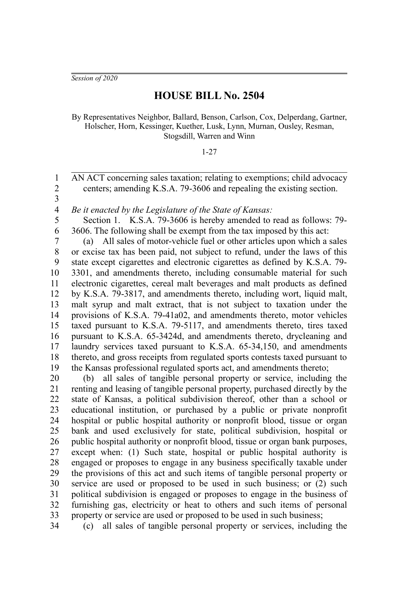*Session of 2020*

## **HOUSE BILL No. 2504**

By Representatives Neighbor, Ballard, Benson, Carlson, Cox, Delperdang, Gartner, Holscher, Horn, Kessinger, Kuether, Lusk, Lynn, Murnan, Ousley, Resman, Stogsdill, Warren and Winn

## 1-27

AN ACT concerning sales taxation; relating to exemptions; child advocacy centers; amending K.S.A. 79-3606 and repealing the existing section.

2 3

34

1

*Be it enacted by the Legislature of the State of Kansas:* 4

Section 1. K.S.A. 79-3606 is hereby amended to read as follows: 79- 3606. The following shall be exempt from the tax imposed by this act: 5 6

(a) All sales of motor-vehicle fuel or other articles upon which a sales or excise tax has been paid, not subject to refund, under the laws of this state except cigarettes and electronic cigarettes as defined by K.S.A. 79- 3301, and amendments thereto, including consumable material for such electronic cigarettes, cereal malt beverages and malt products as defined by K.S.A. 79-3817, and amendments thereto, including wort, liquid malt, malt syrup and malt extract, that is not subject to taxation under the provisions of K.S.A. 79-41a02, and amendments thereto, motor vehicles taxed pursuant to K.S.A. 79-5117, and amendments thereto, tires taxed pursuant to K.S.A. 65-3424d, and amendments thereto, drycleaning and laundry services taxed pursuant to K.S.A. 65-34,150, and amendments thereto, and gross receipts from regulated sports contests taxed pursuant to the Kansas professional regulated sports act, and amendments thereto; 7 8 9 10 11 12 13 14 15 16 17 18 19

(b) all sales of tangible personal property or service, including the renting and leasing of tangible personal property, purchased directly by the state of Kansas, a political subdivision thereof, other than a school or educational institution, or purchased by a public or private nonprofit hospital or public hospital authority or nonprofit blood, tissue or organ bank and used exclusively for state, political subdivision, hospital or public hospital authority or nonprofit blood, tissue or organ bank purposes, except when: (1) Such state, hospital or public hospital authority is engaged or proposes to engage in any business specifically taxable under the provisions of this act and such items of tangible personal property or service are used or proposed to be used in such business; or (2) such political subdivision is engaged or proposes to engage in the business of furnishing gas, electricity or heat to others and such items of personal property or service are used or proposed to be used in such business; 20 21 22 23 24 25 26 27 28 29 30 31 32 33

(c) all sales of tangible personal property or services, including the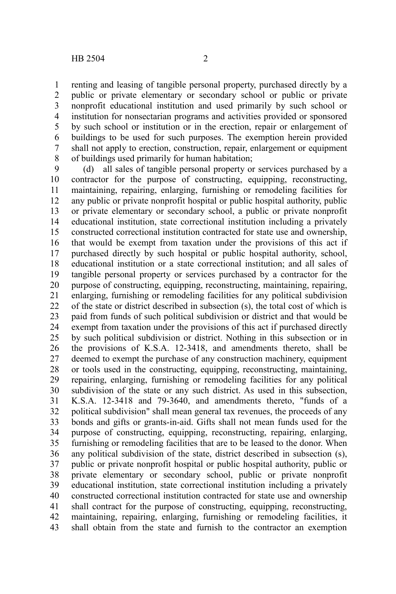renting and leasing of tangible personal property, purchased directly by a public or private elementary or secondary school or public or private nonprofit educational institution and used primarily by such school or institution for nonsectarian programs and activities provided or sponsored by such school or institution or in the erection, repair or enlargement of buildings to be used for such purposes. The exemption herein provided shall not apply to erection, construction, repair, enlargement or equipment of buildings used primarily for human habitation; 1 2 3 4 5 6 7 8

(d) all sales of tangible personal property or services purchased by a contractor for the purpose of constructing, equipping, reconstructing, maintaining, repairing, enlarging, furnishing or remodeling facilities for any public or private nonprofit hospital or public hospital authority, public or private elementary or secondary school, a public or private nonprofit educational institution, state correctional institution including a privately constructed correctional institution contracted for state use and ownership, that would be exempt from taxation under the provisions of this act if purchased directly by such hospital or public hospital authority, school, educational institution or a state correctional institution; and all sales of tangible personal property or services purchased by a contractor for the purpose of constructing, equipping, reconstructing, maintaining, repairing, enlarging, furnishing or remodeling facilities for any political subdivision of the state or district described in subsection (s), the total cost of which is paid from funds of such political subdivision or district and that would be exempt from taxation under the provisions of this act if purchased directly by such political subdivision or district. Nothing in this subsection or in the provisions of K.S.A. 12-3418, and amendments thereto, shall be deemed to exempt the purchase of any construction machinery, equipment or tools used in the constructing, equipping, reconstructing, maintaining, repairing, enlarging, furnishing or remodeling facilities for any political subdivision of the state or any such district. As used in this subsection, K.S.A. 12-3418 and 79-3640, and amendments thereto, "funds of a political subdivision" shall mean general tax revenues, the proceeds of any bonds and gifts or grants-in-aid. Gifts shall not mean funds used for the purpose of constructing, equipping, reconstructing, repairing, enlarging, furnishing or remodeling facilities that are to be leased to the donor. When any political subdivision of the state, district described in subsection (s), public or private nonprofit hospital or public hospital authority, public or private elementary or secondary school, public or private nonprofit educational institution, state correctional institution including a privately constructed correctional institution contracted for state use and ownership shall contract for the purpose of constructing, equipping, reconstructing, maintaining, repairing, enlarging, furnishing or remodeling facilities, it shall obtain from the state and furnish to the contractor an exemption 9 10 11 12 13 14 15 16 17 18 19 20 21 22 23 24 25 26 27 28 29 30 31 32 33 34 35 36 37 38 39 40 41 42 43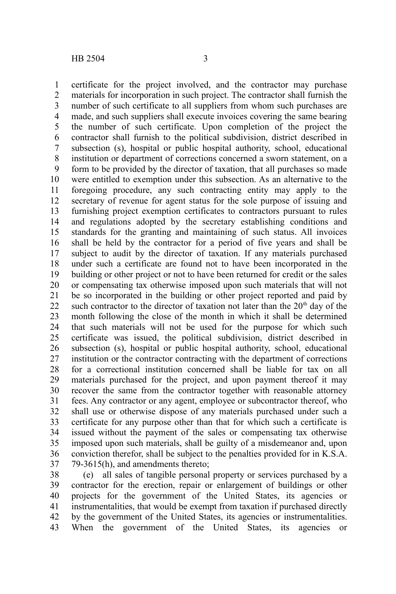certificate for the project involved, and the contractor may purchase materials for incorporation in such project. The contractor shall furnish the number of such certificate to all suppliers from whom such purchases are made, and such suppliers shall execute invoices covering the same bearing the number of such certificate. Upon completion of the project the contractor shall furnish to the political subdivision, district described in subsection (s), hospital or public hospital authority, school, educational institution or department of corrections concerned a sworn statement, on a form to be provided by the director of taxation, that all purchases so made were entitled to exemption under this subsection. As an alternative to the foregoing procedure, any such contracting entity may apply to the secretary of revenue for agent status for the sole purpose of issuing and furnishing project exemption certificates to contractors pursuant to rules and regulations adopted by the secretary establishing conditions and standards for the granting and maintaining of such status. All invoices shall be held by the contractor for a period of five years and shall be subject to audit by the director of taxation. If any materials purchased under such a certificate are found not to have been incorporated in the building or other project or not to have been returned for credit or the sales or compensating tax otherwise imposed upon such materials that will not be so incorporated in the building or other project reported and paid by such contractor to the director of taxation not later than the  $20<sup>th</sup>$  day of the month following the close of the month in which it shall be determined that such materials will not be used for the purpose for which such certificate was issued, the political subdivision, district described in subsection (s), hospital or public hospital authority, school, educational institution or the contractor contracting with the department of corrections for a correctional institution concerned shall be liable for tax on all materials purchased for the project, and upon payment thereof it may recover the same from the contractor together with reasonable attorney fees. Any contractor or any agent, employee or subcontractor thereof, who shall use or otherwise dispose of any materials purchased under such a certificate for any purpose other than that for which such a certificate is issued without the payment of the sales or compensating tax otherwise imposed upon such materials, shall be guilty of a misdemeanor and, upon conviction therefor, shall be subject to the penalties provided for in K.S.A. 79-3615(h), and amendments thereto; 1 2 3 4 5 6 7 8 9 10 11 12 13 14 15 16 17 18 19 20 21 22 23 24 25 26 27 28 29 30 31 32 33 34 35 36 37

(e) all sales of tangible personal property or services purchased by a contractor for the erection, repair or enlargement of buildings or other projects for the government of the United States, its agencies or instrumentalities, that would be exempt from taxation if purchased directly by the government of the United States, its agencies or instrumentalities. When the government of the United States, its agencies or 38 39 40 41 42 43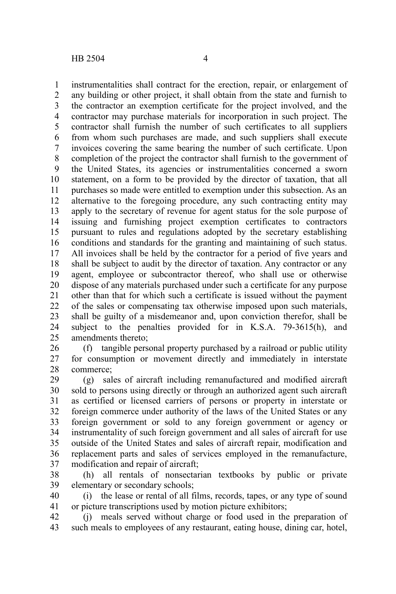instrumentalities shall contract for the erection, repair, or enlargement of any building or other project, it shall obtain from the state and furnish to the contractor an exemption certificate for the project involved, and the contractor may purchase materials for incorporation in such project. The contractor shall furnish the number of such certificates to all suppliers from whom such purchases are made, and such suppliers shall execute invoices covering the same bearing the number of such certificate. Upon completion of the project the contractor shall furnish to the government of the United States, its agencies or instrumentalities concerned a sworn statement, on a form to be provided by the director of taxation, that all purchases so made were entitled to exemption under this subsection. As an alternative to the foregoing procedure, any such contracting entity may apply to the secretary of revenue for agent status for the sole purpose of issuing and furnishing project exemption certificates to contractors pursuant to rules and regulations adopted by the secretary establishing conditions and standards for the granting and maintaining of such status. All invoices shall be held by the contractor for a period of five years and shall be subject to audit by the director of taxation. Any contractor or any agent, employee or subcontractor thereof, who shall use or otherwise dispose of any materials purchased under such a certificate for any purpose other than that for which such a certificate is issued without the payment of the sales or compensating tax otherwise imposed upon such materials, shall be guilty of a misdemeanor and, upon conviction therefor, shall be subject to the penalties provided for in K.S.A. 79-3615(h), and amendments thereto; 1 2 3 4 5 6 7 8 9 10 11 12 13 14 15 16 17 18 19 20 21 22 23 24 25

(f) tangible personal property purchased by a railroad or public utility for consumption or movement directly and immediately in interstate commerce; 26 27 28

(g) sales of aircraft including remanufactured and modified aircraft sold to persons using directly or through an authorized agent such aircraft as certified or licensed carriers of persons or property in interstate or foreign commerce under authority of the laws of the United States or any foreign government or sold to any foreign government or agency or instrumentality of such foreign government and all sales of aircraft for use outside of the United States and sales of aircraft repair, modification and replacement parts and sales of services employed in the remanufacture, modification and repair of aircraft; 29 30 31 32 33 34 35 36 37

(h) all rentals of nonsectarian textbooks by public or private elementary or secondary schools; 38 39

(i) the lease or rental of all films, records, tapes, or any type of sound or picture transcriptions used by motion picture exhibitors; 40 41

(j) meals served without charge or food used in the preparation of such meals to employees of any restaurant, eating house, dining car, hotel, 42 43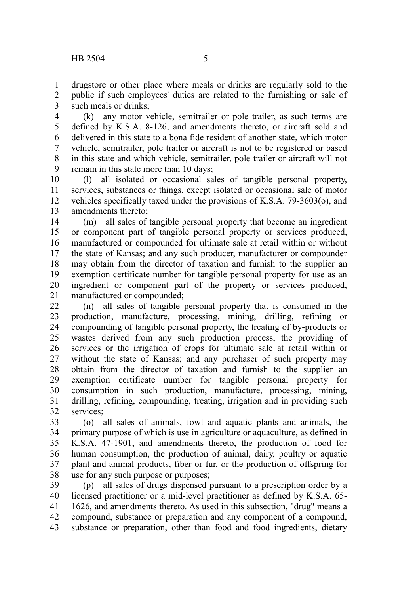drugstore or other place where meals or drinks are regularly sold to the public if such employees' duties are related to the furnishing or sale of such meals or drinks; 1 2 3

(k) any motor vehicle, semitrailer or pole trailer, as such terms are defined by K.S.A. 8-126, and amendments thereto, or aircraft sold and delivered in this state to a bona fide resident of another state, which motor vehicle, semitrailer, pole trailer or aircraft is not to be registered or based in this state and which vehicle, semitrailer, pole trailer or aircraft will not remain in this state more than 10 days; 4 5 6 7 8 9

(l) all isolated or occasional sales of tangible personal property, services, substances or things, except isolated or occasional sale of motor vehicles specifically taxed under the provisions of K.S.A. 79-3603(o), and amendments thereto; 10 11 12 13

(m) all sales of tangible personal property that become an ingredient or component part of tangible personal property or services produced, manufactured or compounded for ultimate sale at retail within or without the state of Kansas; and any such producer, manufacturer or compounder may obtain from the director of taxation and furnish to the supplier an exemption certificate number for tangible personal property for use as an ingredient or component part of the property or services produced, manufactured or compounded; 14 15 16 17 18 19 20 21

(n) all sales of tangible personal property that is consumed in the production, manufacture, processing, mining, drilling, refining or compounding of tangible personal property, the treating of by-products or wastes derived from any such production process, the providing of services or the irrigation of crops for ultimate sale at retail within or without the state of Kansas; and any purchaser of such property may obtain from the director of taxation and furnish to the supplier an exemption certificate number for tangible personal property for consumption in such production, manufacture, processing, mining, drilling, refining, compounding, treating, irrigation and in providing such services; 22 23 24 25 26 27 28 29 30 31 32

(o) all sales of animals, fowl and aquatic plants and animals, the primary purpose of which is use in agriculture or aquaculture, as defined in K.S.A. 47-1901, and amendments thereto, the production of food for human consumption, the production of animal, dairy, poultry or aquatic plant and animal products, fiber or fur, or the production of offspring for use for any such purpose or purposes; 33 34 35 36 37 38

(p) all sales of drugs dispensed pursuant to a prescription order by a licensed practitioner or a mid-level practitioner as defined by K.S.A. 65- 1626, and amendments thereto. As used in this subsection, "drug" means a compound, substance or preparation and any component of a compound, substance or preparation, other than food and food ingredients, dietary 39 40 41 42 43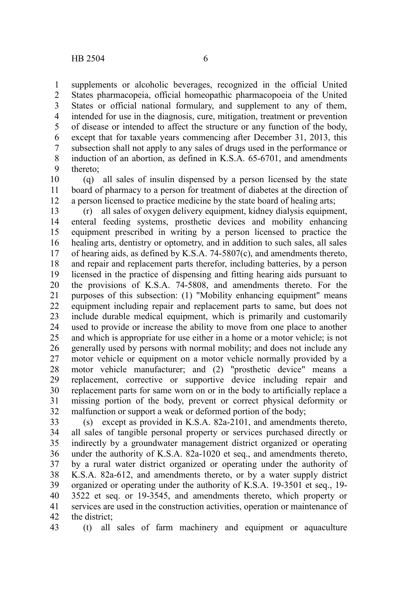supplements or alcoholic beverages, recognized in the official United States pharmacopeia, official homeopathic pharmacopoeia of the United States or official national formulary, and supplement to any of them, intended for use in the diagnosis, cure, mitigation, treatment or prevention of disease or intended to affect the structure or any function of the body, except that for taxable years commencing after December 31, 2013, this subsection shall not apply to any sales of drugs used in the performance or induction of an abortion, as defined in K.S.A. 65-6701, and amendments thereto; 1 2 3 4 5 6 7 8 9

(q) all sales of insulin dispensed by a person licensed by the state board of pharmacy to a person for treatment of diabetes at the direction of a person licensed to practice medicine by the state board of healing arts; 10 11 12

(r) all sales of oxygen delivery equipment, kidney dialysis equipment, enteral feeding systems, prosthetic devices and mobility enhancing equipment prescribed in writing by a person licensed to practice the healing arts, dentistry or optometry, and in addition to such sales, all sales of hearing aids, as defined by K.S.A. 74-5807(c), and amendments thereto, and repair and replacement parts therefor, including batteries, by a person licensed in the practice of dispensing and fitting hearing aids pursuant to the provisions of K.S.A. 74-5808, and amendments thereto. For the purposes of this subsection: (1) "Mobility enhancing equipment" means equipment including repair and replacement parts to same, but does not include durable medical equipment, which is primarily and customarily used to provide or increase the ability to move from one place to another and which is appropriate for use either in a home or a motor vehicle; is not generally used by persons with normal mobility; and does not include any motor vehicle or equipment on a motor vehicle normally provided by a motor vehicle manufacturer; and (2) "prosthetic device" means a replacement, corrective or supportive device including repair and replacement parts for same worn on or in the body to artificially replace a missing portion of the body, prevent or correct physical deformity or malfunction or support a weak or deformed portion of the body; 13 14 15 16 17 18 19 20 21 22 23 24 25 26 27 28 29 30 31 32

(s) except as provided in K.S.A. 82a-2101, and amendments thereto, all sales of tangible personal property or services purchased directly or indirectly by a groundwater management district organized or operating under the authority of K.S.A. 82a-1020 et seq., and amendments thereto, by a rural water district organized or operating under the authority of K.S.A. 82a-612, and amendments thereto, or by a water supply district organized or operating under the authority of K.S.A. 19-3501 et seq., 19- 3522 et seq. or 19-3545, and amendments thereto, which property or services are used in the construction activities, operation or maintenance of the district; 33 34 35 36 37 38 39 40 41 42

(t) all sales of farm machinery and equipment or aquaculture 43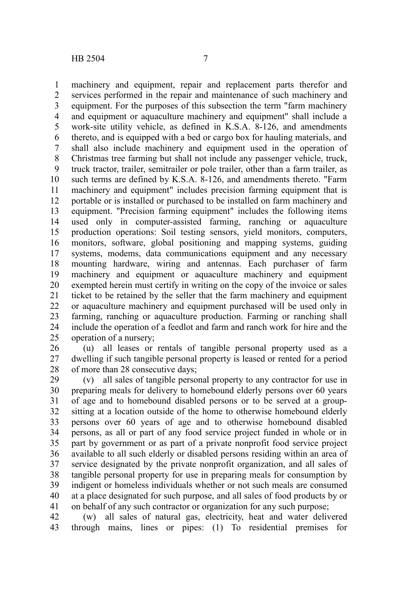machinery and equipment, repair and replacement parts therefor and services performed in the repair and maintenance of such machinery and equipment. For the purposes of this subsection the term "farm machinery and equipment or aquaculture machinery and equipment" shall include a work-site utility vehicle, as defined in K.S.A. 8-126, and amendments thereto, and is equipped with a bed or cargo box for hauling materials, and shall also include machinery and equipment used in the operation of Christmas tree farming but shall not include any passenger vehicle, truck, truck tractor, trailer, semitrailer or pole trailer, other than a farm trailer, as such terms are defined by K.S.A. 8-126, and amendments thereto. "Farm machinery and equipment" includes precision farming equipment that is portable or is installed or purchased to be installed on farm machinery and equipment. "Precision farming equipment" includes the following items used only in computer-assisted farming, ranching or aquaculture production operations: Soil testing sensors, yield monitors, computers, monitors, software, global positioning and mapping systems, guiding systems, modems, data communications equipment and any necessary mounting hardware, wiring and antennas. Each purchaser of farm machinery and equipment or aquaculture machinery and equipment exempted herein must certify in writing on the copy of the invoice or sales ticket to be retained by the seller that the farm machinery and equipment or aquaculture machinery and equipment purchased will be used only in farming, ranching or aquaculture production. Farming or ranching shall include the operation of a feedlot and farm and ranch work for hire and the operation of a nursery; 1 2 3 4 5 6 7 8 9 10 11 12 13 14 15 16 17 18 19 20 21 22 23 24 25

(u) all leases or rentals of tangible personal property used as a dwelling if such tangible personal property is leased or rented for a period of more than 28 consecutive days; 26 27 28

(v) all sales of tangible personal property to any contractor for use in preparing meals for delivery to homebound elderly persons over 60 years of age and to homebound disabled persons or to be served at a groupsitting at a location outside of the home to otherwise homebound elderly persons over 60 years of age and to otherwise homebound disabled persons, as all or part of any food service project funded in whole or in part by government or as part of a private nonprofit food service project available to all such elderly or disabled persons residing within an area of service designated by the private nonprofit organization, and all sales of tangible personal property for use in preparing meals for consumption by indigent or homeless individuals whether or not such meals are consumed at a place designated for such purpose, and all sales of food products by or on behalf of any such contractor or organization for any such purpose; 29 30 31 32 33 34 35 36 37 38 39 40 41

(w) all sales of natural gas, electricity, heat and water delivered through mains, lines or pipes: (1) To residential premises for 42 43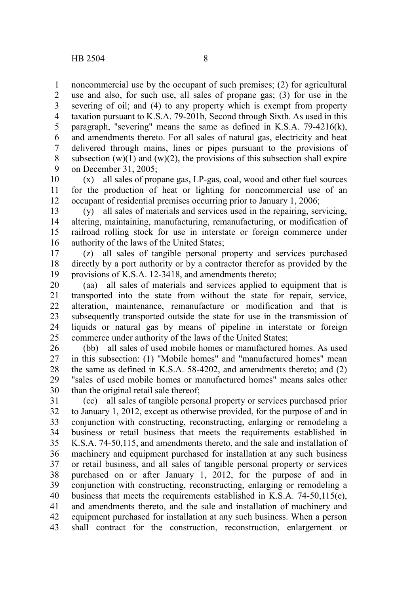noncommercial use by the occupant of such premises; (2) for agricultural use and also, for such use, all sales of propane gas; (3) for use in the severing of oil; and (4) to any property which is exempt from property taxation pursuant to K.S.A. 79-201b, Second through Sixth. As used in this paragraph, "severing" means the same as defined in K.S.A. 79-4216(k), and amendments thereto. For all sales of natural gas, electricity and heat delivered through mains, lines or pipes pursuant to the provisions of subsection  $(w)(1)$  and  $(w)(2)$ , the provisions of this subsection shall expire on December 31, 2005; 1 2 3 4 5 6 7 8 9

(x) all sales of propane gas, LP-gas, coal, wood and other fuel sources for the production of heat or lighting for noncommercial use of an occupant of residential premises occurring prior to January 1, 2006; 10 11 12

(y) all sales of materials and services used in the repairing, servicing, altering, maintaining, manufacturing, remanufacturing, or modification of railroad rolling stock for use in interstate or foreign commerce under authority of the laws of the United States; 13 14 15 16

(z) all sales of tangible personal property and services purchased directly by a port authority or by a contractor therefor as provided by the provisions of K.S.A. 12-3418, and amendments thereto; 17 18 19

(aa) all sales of materials and services applied to equipment that is transported into the state from without the state for repair, service, alteration, maintenance, remanufacture or modification and that is subsequently transported outside the state for use in the transmission of liquids or natural gas by means of pipeline in interstate or foreign commerce under authority of the laws of the United States; 20 21 22 23 24 25

(bb) all sales of used mobile homes or manufactured homes. As used in this subsection: (1) "Mobile homes" and "manufactured homes" mean the same as defined in K.S.A. 58-4202, and amendments thereto; and (2) "sales of used mobile homes or manufactured homes" means sales other than the original retail sale thereof; 26 27 28 29 30

(cc) all sales of tangible personal property or services purchased prior to January 1, 2012, except as otherwise provided, for the purpose of and in conjunction with constructing, reconstructing, enlarging or remodeling a business or retail business that meets the requirements established in K.S.A. 74-50,115, and amendments thereto, and the sale and installation of machinery and equipment purchased for installation at any such business or retail business, and all sales of tangible personal property or services purchased on or after January 1, 2012, for the purpose of and in conjunction with constructing, reconstructing, enlarging or remodeling a business that meets the requirements established in K.S.A. 74-50,115(e), and amendments thereto, and the sale and installation of machinery and equipment purchased for installation at any such business. When a person shall contract for the construction, reconstruction, enlargement or 31 32 33 34 35 36 37 38 39 40 41 42 43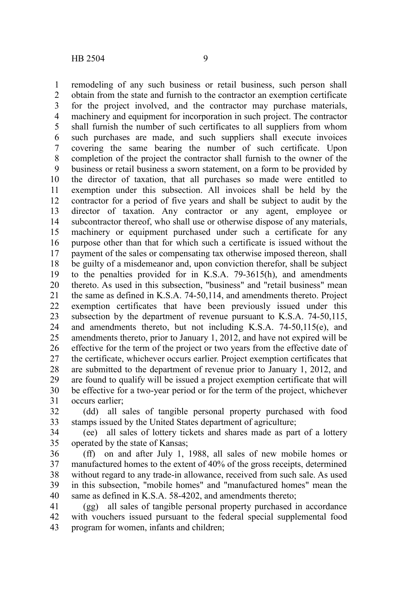remodeling of any such business or retail business, such person shall obtain from the state and furnish to the contractor an exemption certificate for the project involved, and the contractor may purchase materials, machinery and equipment for incorporation in such project. The contractor shall furnish the number of such certificates to all suppliers from whom such purchases are made, and such suppliers shall execute invoices covering the same bearing the number of such certificate. Upon completion of the project the contractor shall furnish to the owner of the business or retail business a sworn statement, on a form to be provided by the director of taxation, that all purchases so made were entitled to exemption under this subsection. All invoices shall be held by the contractor for a period of five years and shall be subject to audit by the director of taxation. Any contractor or any agent, employee or subcontractor thereof, who shall use or otherwise dispose of any materials, machinery or equipment purchased under such a certificate for any purpose other than that for which such a certificate is issued without the payment of the sales or compensating tax otherwise imposed thereon, shall be guilty of a misdemeanor and, upon conviction therefor, shall be subject to the penalties provided for in K.S.A. 79-3615(h), and amendments thereto. As used in this subsection, "business" and "retail business" mean the same as defined in K.S.A. 74-50,114, and amendments thereto. Project exemption certificates that have been previously issued under this subsection by the department of revenue pursuant to K.S.A. 74-50,115, and amendments thereto, but not including K.S.A. 74-50,115(e), and amendments thereto, prior to January 1, 2012, and have not expired will be effective for the term of the project or two years from the effective date of the certificate, whichever occurs earlier. Project exemption certificates that are submitted to the department of revenue prior to January 1, 2012, and are found to qualify will be issued a project exemption certificate that will be effective for a two-year period or for the term of the project, whichever occurs earlier; 1 2 3 4 5 6 7 8 9 10 11 12 13 14 15 16 17 18 19 20 21 22 23 24 25 26 27 28 29 30 31

(dd) all sales of tangible personal property purchased with food stamps issued by the United States department of agriculture; 32 33

(ee) all sales of lottery tickets and shares made as part of a lottery operated by the state of Kansas; 34 35

(ff) on and after July 1, 1988, all sales of new mobile homes or manufactured homes to the extent of 40% of the gross receipts, determined without regard to any trade-in allowance, received from such sale. As used in this subsection, "mobile homes" and "manufactured homes" mean the same as defined in K.S.A. 58-4202, and amendments thereto: 36 37 38 39 40

(gg) all sales of tangible personal property purchased in accordance with vouchers issued pursuant to the federal special supplemental food program for women, infants and children; 41 42 43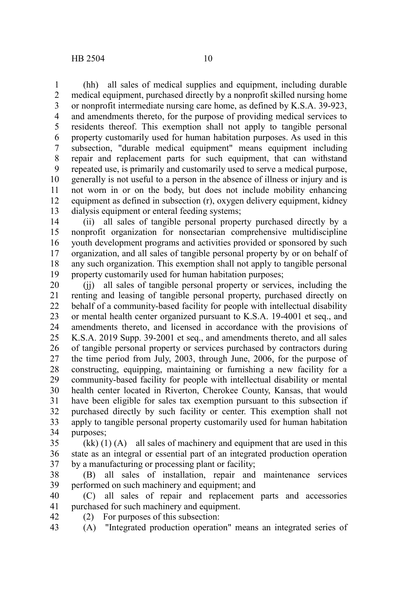(hh) all sales of medical supplies and equipment, including durable medical equipment, purchased directly by a nonprofit skilled nursing home or nonprofit intermediate nursing care home, as defined by K.S.A. 39-923, and amendments thereto, for the purpose of providing medical services to residents thereof. This exemption shall not apply to tangible personal property customarily used for human habitation purposes. As used in this subsection, "durable medical equipment" means equipment including repair and replacement parts for such equipment, that can withstand repeated use, is primarily and customarily used to serve a medical purpose, generally is not useful to a person in the absence of illness or injury and is not worn in or on the body, but does not include mobility enhancing equipment as defined in subsection (r), oxygen delivery equipment, kidney dialysis equipment or enteral feeding systems; 1 2 3 4 5 6 7 8 9 10 11 12 13

(ii) all sales of tangible personal property purchased directly by a nonprofit organization for nonsectarian comprehensive multidiscipline youth development programs and activities provided or sponsored by such organization, and all sales of tangible personal property by or on behalf of any such organization. This exemption shall not apply to tangible personal property customarily used for human habitation purposes; 14 15 16 17 18 19

(jj) all sales of tangible personal property or services, including the renting and leasing of tangible personal property, purchased directly on behalf of a community-based facility for people with intellectual disability or mental health center organized pursuant to K.S.A. 19-4001 et seq., and amendments thereto, and licensed in accordance with the provisions of K.S.A. 2019 Supp. 39-2001 et seq., and amendments thereto, and all sales of tangible personal property or services purchased by contractors during the time period from July, 2003, through June, 2006, for the purpose of constructing, equipping, maintaining or furnishing a new facility for a community-based facility for people with intellectual disability or mental health center located in Riverton, Cherokee County, Kansas, that would have been eligible for sales tax exemption pursuant to this subsection if purchased directly by such facility or center. This exemption shall not apply to tangible personal property customarily used for human habitation purposes; 20 21 22 23 24 25 26 27 28 29 30 31 32 33 34

(kk) (1) (A) all sales of machinery and equipment that are used in this state as an integral or essential part of an integrated production operation by a manufacturing or processing plant or facility; 35 36 37

(B) all sales of installation, repair and maintenance services performed on such machinery and equipment; and 38 39

(C) all sales of repair and replacement parts and accessories purchased for such machinery and equipment. 40 41

(2) For purposes of this subsection: 42

(A) "Integrated production operation" means an integrated series of 43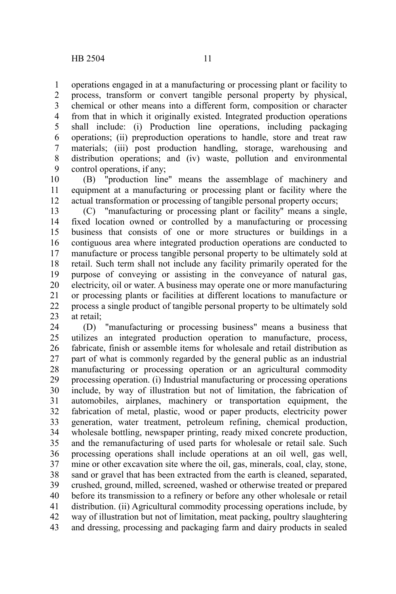operations engaged in at a manufacturing or processing plant or facility to process, transform or convert tangible personal property by physical, chemical or other means into a different form, composition or character from that in which it originally existed. Integrated production operations shall include: (i) Production line operations, including packaging operations; (ii) preproduction operations to handle, store and treat raw materials; (iii) post production handling, storage, warehousing and distribution operations; and (iv) waste, pollution and environmental control operations, if any; 1 2 3 4 5 6 7 8 9

(B) "production line" means the assemblage of machinery and equipment at a manufacturing or processing plant or facility where the actual transformation or processing of tangible personal property occurs; 10 11 12

(C) "manufacturing or processing plant or facility" means a single, fixed location owned or controlled by a manufacturing or processing business that consists of one or more structures or buildings in a contiguous area where integrated production operations are conducted to manufacture or process tangible personal property to be ultimately sold at retail. Such term shall not include any facility primarily operated for the purpose of conveying or assisting in the conveyance of natural gas, electricity, oil or water. A business may operate one or more manufacturing or processing plants or facilities at different locations to manufacture or process a single product of tangible personal property to be ultimately sold at retail; 13 14 15 16 17 18 19 20 21 22 23

(D) "manufacturing or processing business" means a business that utilizes an integrated production operation to manufacture, process, fabricate, finish or assemble items for wholesale and retail distribution as part of what is commonly regarded by the general public as an industrial manufacturing or processing operation or an agricultural commodity processing operation. (i) Industrial manufacturing or processing operations include, by way of illustration but not of limitation, the fabrication of automobiles, airplanes, machinery or transportation equipment, the fabrication of metal, plastic, wood or paper products, electricity power generation, water treatment, petroleum refining, chemical production, wholesale bottling, newspaper printing, ready mixed concrete production, and the remanufacturing of used parts for wholesale or retail sale. Such processing operations shall include operations at an oil well, gas well, mine or other excavation site where the oil, gas, minerals, coal, clay, stone, sand or gravel that has been extracted from the earth is cleaned, separated, crushed, ground, milled, screened, washed or otherwise treated or prepared before its transmission to a refinery or before any other wholesale or retail distribution. (ii) Agricultural commodity processing operations include, by way of illustration but not of limitation, meat packing, poultry slaughtering and dressing, processing and packaging farm and dairy products in sealed 24 25 26 27 28 29 30 31 32 33 34 35 36 37 38 39 40 41 42 43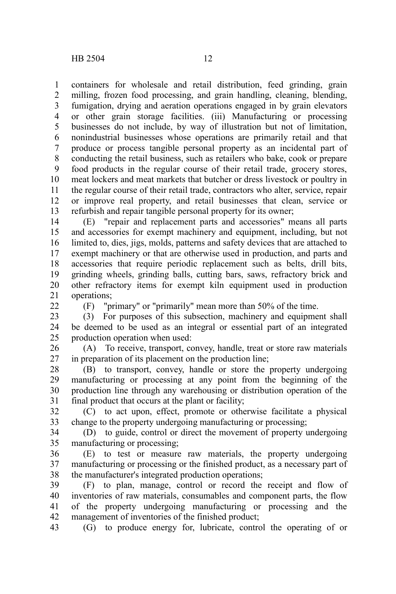containers for wholesale and retail distribution, feed grinding, grain milling, frozen food processing, and grain handling, cleaning, blending, fumigation, drying and aeration operations engaged in by grain elevators or other grain storage facilities. (iii) Manufacturing or processing businesses do not include, by way of illustration but not of limitation, nonindustrial businesses whose operations are primarily retail and that produce or process tangible personal property as an incidental part of conducting the retail business, such as retailers who bake, cook or prepare food products in the regular course of their retail trade, grocery stores, meat lockers and meat markets that butcher or dress livestock or poultry in the regular course of their retail trade, contractors who alter, service, repair or improve real property, and retail businesses that clean, service or refurbish and repair tangible personal property for its owner; 1 2 3 4 5 6 7 8 9 10 11 12 13

(E) "repair and replacement parts and accessories" means all parts and accessories for exempt machinery and equipment, including, but not limited to, dies, jigs, molds, patterns and safety devices that are attached to exempt machinery or that are otherwise used in production, and parts and accessories that require periodic replacement such as belts, drill bits, grinding wheels, grinding balls, cutting bars, saws, refractory brick and other refractory items for exempt kiln equipment used in production operations; 14 15 16 17 18 19 20 21

 $22$ 

(F) "primary" or "primarily" mean more than 50% of the time.

(3) For purposes of this subsection, machinery and equipment shall be deemed to be used as an integral or essential part of an integrated production operation when used: 23 24 25

(A) To receive, transport, convey, handle, treat or store raw materials in preparation of its placement on the production line; 26 27

(B) to transport, convey, handle or store the property undergoing manufacturing or processing at any point from the beginning of the production line through any warehousing or distribution operation of the final product that occurs at the plant or facility; 28 29 30 31

(C) to act upon, effect, promote or otherwise facilitate a physical change to the property undergoing manufacturing or processing; 32 33

(D) to guide, control or direct the movement of property undergoing manufacturing or processing; 34 35

(E) to test or measure raw materials, the property undergoing manufacturing or processing or the finished product, as a necessary part of the manufacturer's integrated production operations; 36 37 38

(F) to plan, manage, control or record the receipt and flow of inventories of raw materials, consumables and component parts, the flow of the property undergoing manufacturing or processing and the management of inventories of the finished product; 39 40 41 42

(G) to produce energy for, lubricate, control the operating of or 43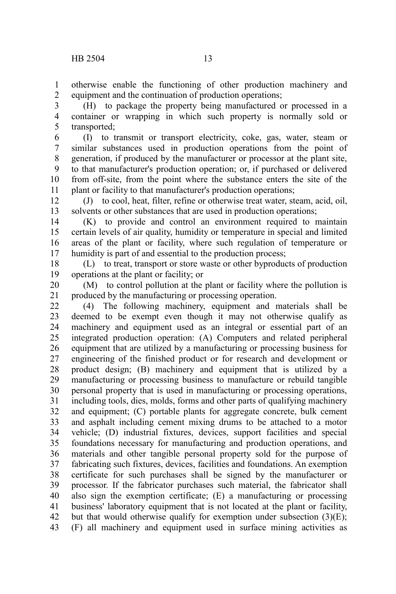otherwise enable the functioning of other production machinery and equipment and the continuation of production operations; 1 2

(H) to package the property being manufactured or processed in a container or wrapping in which such property is normally sold or transported; 3 4 5

(I) to transmit or transport electricity, coke, gas, water, steam or similar substances used in production operations from the point of generation, if produced by the manufacturer or processor at the plant site, to that manufacturer's production operation; or, if purchased or delivered from off-site, from the point where the substance enters the site of the plant or facility to that manufacturer's production operations; 6 7 8 9 10 11

(J) to cool, heat, filter, refine or otherwise treat water, steam, acid, oil, solvents or other substances that are used in production operations; 12 13

(K) to provide and control an environment required to maintain certain levels of air quality, humidity or temperature in special and limited areas of the plant or facility, where such regulation of temperature or humidity is part of and essential to the production process; 14 15 16 17

(L) to treat, transport or store waste or other byproducts of production operations at the plant or facility; or 18 19

(M) to control pollution at the plant or facility where the pollution is produced by the manufacturing or processing operation. 20 21

(4) The following machinery, equipment and materials shall be deemed to be exempt even though it may not otherwise qualify as machinery and equipment used as an integral or essential part of an integrated production operation: (A) Computers and related peripheral equipment that are utilized by a manufacturing or processing business for engineering of the finished product or for research and development or product design; (B) machinery and equipment that is utilized by a manufacturing or processing business to manufacture or rebuild tangible personal property that is used in manufacturing or processing operations, including tools, dies, molds, forms and other parts of qualifying machinery and equipment; (C) portable plants for aggregate concrete, bulk cement and asphalt including cement mixing drums to be attached to a motor vehicle; (D) industrial fixtures, devices, support facilities and special foundations necessary for manufacturing and production operations, and materials and other tangible personal property sold for the purpose of fabricating such fixtures, devices, facilities and foundations. An exemption certificate for such purchases shall be signed by the manufacturer or processor. If the fabricator purchases such material, the fabricator shall also sign the exemption certificate; (E) a manufacturing or processing business' laboratory equipment that is not located at the plant or facility, but that would otherwise qualify for exemption under subsection  $(3)(E)$ ; (F) all machinery and equipment used in surface mining activities as 22 23 24 25 26 27 28 29 30 31 32 33 34 35 36 37 38 39 40 41 42 43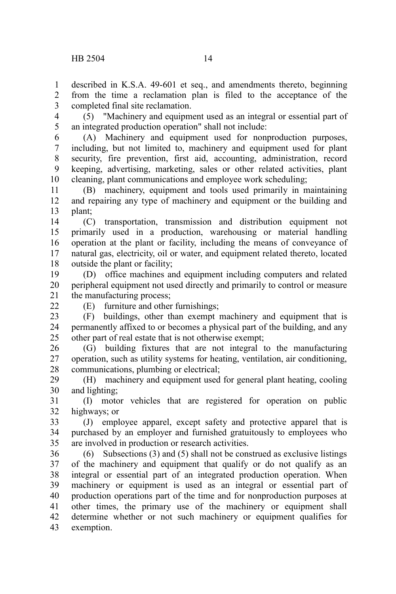described in K.S.A. 49-601 et seq., and amendments thereto, beginning from the time a reclamation plan is filed to the acceptance of the completed final site reclamation. 1  $\mathcal{L}$ 3

(5) "Machinery and equipment used as an integral or essential part of an integrated production operation" shall not include: 4 5

(A) Machinery and equipment used for nonproduction purposes, including, but not limited to, machinery and equipment used for plant security, fire prevention, first aid, accounting, administration, record keeping, advertising, marketing, sales or other related activities, plant cleaning, plant communications and employee work scheduling; 6 7 8 9 10

(B) machinery, equipment and tools used primarily in maintaining and repairing any type of machinery and equipment or the building and plant; 11 12 13

(C) transportation, transmission and distribution equipment not primarily used in a production, warehousing or material handling operation at the plant or facility, including the means of conveyance of natural gas, electricity, oil or water, and equipment related thereto, located outside the plant or facility; 14 15 16 17 18

(D) office machines and equipment including computers and related peripheral equipment not used directly and primarily to control or measure the manufacturing process; 19 20 21

22

(E) furniture and other furnishings;

(F) buildings, other than exempt machinery and equipment that is permanently affixed to or becomes a physical part of the building, and any other part of real estate that is not otherwise exempt; 23 24 25

(G) building fixtures that are not integral to the manufacturing operation, such as utility systems for heating, ventilation, air conditioning, communications, plumbing or electrical; 26 27 28

(H) machinery and equipment used for general plant heating, cooling and lighting; 29 30

(I) motor vehicles that are registered for operation on public highways; or 31 32

(J) employee apparel, except safety and protective apparel that is purchased by an employer and furnished gratuitously to employees who are involved in production or research activities. 33 34 35

(6) Subsections (3) and (5) shall not be construed as exclusive listings of the machinery and equipment that qualify or do not qualify as an integral or essential part of an integrated production operation. When machinery or equipment is used as an integral or essential part of production operations part of the time and for nonproduction purposes at other times, the primary use of the machinery or equipment shall determine whether or not such machinery or equipment qualifies for exemption. 36 37 38 39 40 41 42 43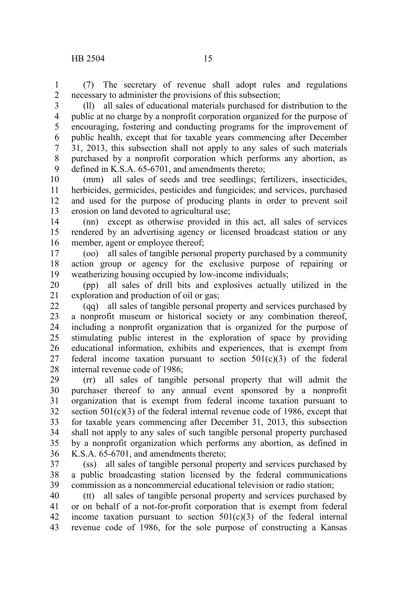(7) The secretary of revenue shall adopt rules and regulations necessary to administer the provisions of this subsection; 1 2

(ll) all sales of educational materials purchased for distribution to the public at no charge by a nonprofit corporation organized for the purpose of encouraging, fostering and conducting programs for the improvement of public health, except that for taxable years commencing after December 31, 2013, this subsection shall not apply to any sales of such materials purchased by a nonprofit corporation which performs any abortion, as defined in K.S.A. 65-6701, and amendments thereto; 3 4 5 6 7 8 9

(mm) all sales of seeds and tree seedlings; fertilizers, insecticides, herbicides, germicides, pesticides and fungicides; and services, purchased and used for the purpose of producing plants in order to prevent soil erosion on land devoted to agricultural use; 10 11 12 13

(nn) except as otherwise provided in this act, all sales of services rendered by an advertising agency or licensed broadcast station or any member, agent or employee thereof; 14 15 16

(oo) all sales of tangible personal property purchased by a community action group or agency for the exclusive purpose of repairing or weatherizing housing occupied by low-income individuals; 17 18 19

(pp) all sales of drill bits and explosives actually utilized in the exploration and production of oil or gas; 20 21

(qq) all sales of tangible personal property and services purchased by a nonprofit museum or historical society or any combination thereof, including a nonprofit organization that is organized for the purpose of stimulating public interest in the exploration of space by providing educational information, exhibits and experiences, that is exempt from federal income taxation pursuant to section  $501(c)(3)$  of the federal internal revenue code of 1986; 22 23 24 25 26 27 28

(rr) all sales of tangible personal property that will admit the purchaser thereof to any annual event sponsored by a nonprofit organization that is exempt from federal income taxation pursuant to section  $501(c)(3)$  of the federal internal revenue code of 1986, except that for taxable years commencing after December 31, 2013, this subsection shall not apply to any sales of such tangible personal property purchased by a nonprofit organization which performs any abortion, as defined in K.S.A. 65-6701, and amendments thereto; 29 30 31 32 33 34 35 36

(ss) all sales of tangible personal property and services purchased by a public broadcasting station licensed by the federal communications commission as a noncommercial educational television or radio station; 37 38 39

(tt) all sales of tangible personal property and services purchased by or on behalf of a not-for-profit corporation that is exempt from federal income taxation pursuant to section  $501(c)(3)$  of the federal internal revenue code of 1986, for the sole purpose of constructing a Kansas 40 41 42 43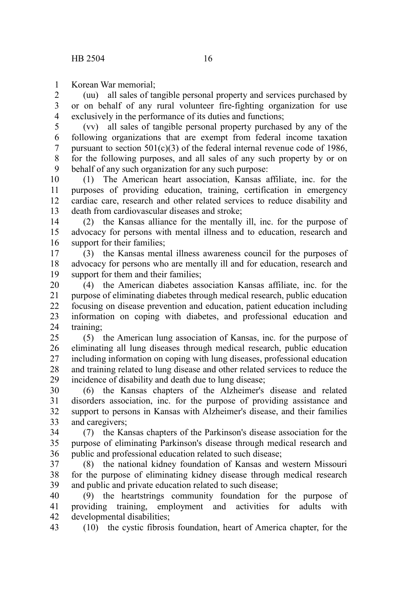Korean War memorial; 1

(uu) all sales of tangible personal property and services purchased by or on behalf of any rural volunteer fire-fighting organization for use exclusively in the performance of its duties and functions; 2 3 4

(vv) all sales of tangible personal property purchased by any of the following organizations that are exempt from federal income taxation pursuant to section  $501(c)(3)$  of the federal internal revenue code of 1986, for the following purposes, and all sales of any such property by or on behalf of any such organization for any such purpose: 5 6 7 8 9

(1) The American heart association, Kansas affiliate, inc. for the purposes of providing education, training, certification in emergency cardiac care, research and other related services to reduce disability and death from cardiovascular diseases and stroke; 10 11 12 13

(2) the Kansas alliance for the mentally ill, inc. for the purpose of advocacy for persons with mental illness and to education, research and support for their families; 14 15 16

(3) the Kansas mental illness awareness council for the purposes of advocacy for persons who are mentally ill and for education, research and support for them and their families; 17 18 19

(4) the American diabetes association Kansas affiliate, inc. for the purpose of eliminating diabetes through medical research, public education focusing on disease prevention and education, patient education including information on coping with diabetes, and professional education and training; 20 21 22 23 24

(5) the American lung association of Kansas, inc. for the purpose of eliminating all lung diseases through medical research, public education including information on coping with lung diseases, professional education and training related to lung disease and other related services to reduce the incidence of disability and death due to lung disease;  $25$ 26 27 28 29

(6) the Kansas chapters of the Alzheimer's disease and related disorders association, inc. for the purpose of providing assistance and support to persons in Kansas with Alzheimer's disease, and their families and caregivers; 30 31 32 33

(7) the Kansas chapters of the Parkinson's disease association for the purpose of eliminating Parkinson's disease through medical research and public and professional education related to such disease; 34 35 36

(8) the national kidney foundation of Kansas and western Missouri for the purpose of eliminating kidney disease through medical research and public and private education related to such disease; 37 38 39

(9) the heartstrings community foundation for the purpose of providing training, employment and activities for adults with developmental disabilities; 40 41 42

(10) the cystic fibrosis foundation, heart of America chapter, for the 43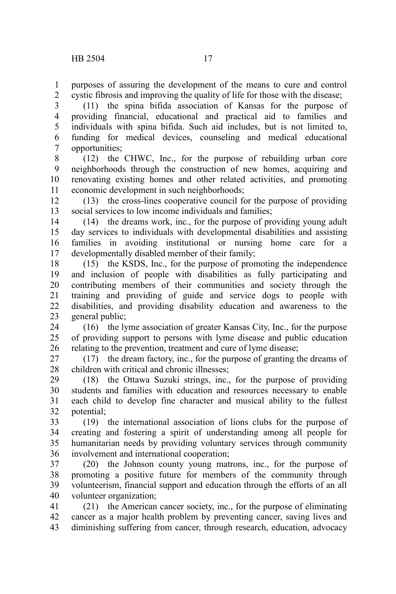purposes of assuring the development of the means to cure and control cystic fibrosis and improving the quality of life for those with the disease; 1 2

(11) the spina bifida association of Kansas for the purpose of providing financial, educational and practical aid to families and individuals with spina bifida. Such aid includes, but is not limited to, funding for medical devices, counseling and medical educational opportunities; 3 4 5 6 7

(12) the CHWC, Inc., for the purpose of rebuilding urban core neighborhoods through the construction of new homes, acquiring and renovating existing homes and other related activities, and promoting economic development in such neighborhoods; 8 9 10 11

(13) the cross-lines cooperative council for the purpose of providing social services to low income individuals and families; 12 13

(14) the dreams work, inc., for the purpose of providing young adult day services to individuals with developmental disabilities and assisting families in avoiding institutional or nursing home care for a developmentally disabled member of their family; 14 15 16 17

(15) the KSDS, Inc., for the purpose of promoting the independence and inclusion of people with disabilities as fully participating and contributing members of their communities and society through the training and providing of guide and service dogs to people with disabilities, and providing disability education and awareness to the general public; 18 19 20 21 22 23

(16) the lyme association of greater Kansas City, Inc., for the purpose of providing support to persons with lyme disease and public education relating to the prevention, treatment and cure of lyme disease; 24 25 26

(17) the dream factory, inc., for the purpose of granting the dreams of children with critical and chronic illnesses; 27 28

(18) the Ottawa Suzuki strings, inc., for the purpose of providing students and families with education and resources necessary to enable each child to develop fine character and musical ability to the fullest potential; 29 30 31 32

(19) the international association of lions clubs for the purpose of creating and fostering a spirit of understanding among all people for humanitarian needs by providing voluntary services through community involvement and international cooperation; 33 34 35 36

(20) the Johnson county young matrons, inc., for the purpose of promoting a positive future for members of the community through volunteerism, financial support and education through the efforts of an all volunteer organization; 37 38 39 40

(21) the American cancer society, inc., for the purpose of eliminating cancer as a major health problem by preventing cancer, saving lives and diminishing suffering from cancer, through research, education, advocacy 41 42 43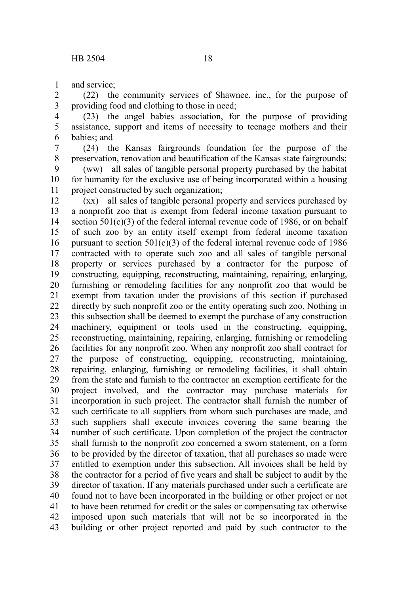and service; 1

(22) the community services of Shawnee, inc., for the purpose of providing food and clothing to those in need; 2 3

(23) the angel babies association, for the purpose of providing assistance, support and items of necessity to teenage mothers and their babies; and 4 5 6

(24) the Kansas fairgrounds foundation for the purpose of the preservation, renovation and beautification of the Kansas state fairgrounds; 7 8

(ww) all sales of tangible personal property purchased by the habitat for humanity for the exclusive use of being incorporated within a housing project constructed by such organization; 9 10 11

(xx) all sales of tangible personal property and services purchased by a nonprofit zoo that is exempt from federal income taxation pursuant to section  $501(c)(3)$  of the federal internal revenue code of 1986, or on behalf of such zoo by an entity itself exempt from federal income taxation pursuant to section  $501(c)(3)$  of the federal internal revenue code of 1986 contracted with to operate such zoo and all sales of tangible personal property or services purchased by a contractor for the purpose of constructing, equipping, reconstructing, maintaining, repairing, enlarging, furnishing or remodeling facilities for any nonprofit zoo that would be exempt from taxation under the provisions of this section if purchased directly by such nonprofit zoo or the entity operating such zoo. Nothing in this subsection shall be deemed to exempt the purchase of any construction machinery, equipment or tools used in the constructing, equipping, reconstructing, maintaining, repairing, enlarging, furnishing or remodeling facilities for any nonprofit zoo. When any nonprofit zoo shall contract for the purpose of constructing, equipping, reconstructing, maintaining, repairing, enlarging, furnishing or remodeling facilities, it shall obtain from the state and furnish to the contractor an exemption certificate for the project involved, and the contractor may purchase materials for incorporation in such project. The contractor shall furnish the number of such certificate to all suppliers from whom such purchases are made, and such suppliers shall execute invoices covering the same bearing the number of such certificate. Upon completion of the project the contractor shall furnish to the nonprofit zoo concerned a sworn statement, on a form to be provided by the director of taxation, that all purchases so made were entitled to exemption under this subsection. All invoices shall be held by the contractor for a period of five years and shall be subject to audit by the director of taxation. If any materials purchased under such a certificate are found not to have been incorporated in the building or other project or not to have been returned for credit or the sales or compensating tax otherwise imposed upon such materials that will not be so incorporated in the building or other project reported and paid by such contractor to the 12 13 14 15 16 17 18 19 20 21 22 23 24 25 26 27 28 29 30 31 32 33 34 35 36 37 38 39 40 41 42 43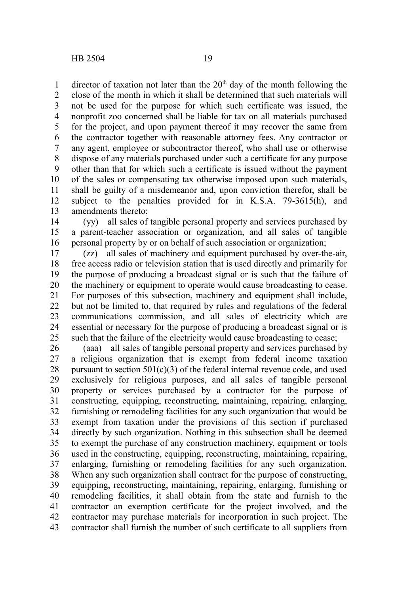director of taxation not later than the  $20<sup>th</sup>$  day of the month following the close of the month in which it shall be determined that such materials will not be used for the purpose for which such certificate was issued, the nonprofit zoo concerned shall be liable for tax on all materials purchased for the project, and upon payment thereof it may recover the same from the contractor together with reasonable attorney fees. Any contractor or any agent, employee or subcontractor thereof, who shall use or otherwise dispose of any materials purchased under such a certificate for any purpose other than that for which such a certificate is issued without the payment of the sales or compensating tax otherwise imposed upon such materials, shall be guilty of a misdemeanor and, upon conviction therefor, shall be subject to the penalties provided for in K.S.A. 79-3615(h), and amendments thereto; 1 2 3 4 5 6 7 8 9 10 11 12 13

(yy) all sales of tangible personal property and services purchased by a parent-teacher association or organization, and all sales of tangible personal property by or on behalf of such association or organization; 14 15 16

(zz) all sales of machinery and equipment purchased by over-the-air, free access radio or television station that is used directly and primarily for the purpose of producing a broadcast signal or is such that the failure of the machinery or equipment to operate would cause broadcasting to cease. For purposes of this subsection, machinery and equipment shall include, but not be limited to, that required by rules and regulations of the federal communications commission, and all sales of electricity which are essential or necessary for the purpose of producing a broadcast signal or is such that the failure of the electricity would cause broadcasting to cease; 17 18 19 20 21 22 23 24 25

(aaa) all sales of tangible personal property and services purchased by a religious organization that is exempt from federal income taxation pursuant to section  $501(c)(3)$  of the federal internal revenue code, and used exclusively for religious purposes, and all sales of tangible personal property or services purchased by a contractor for the purpose of constructing, equipping, reconstructing, maintaining, repairing, enlarging, furnishing or remodeling facilities for any such organization that would be exempt from taxation under the provisions of this section if purchased directly by such organization. Nothing in this subsection shall be deemed to exempt the purchase of any construction machinery, equipment or tools used in the constructing, equipping, reconstructing, maintaining, repairing, enlarging, furnishing or remodeling facilities for any such organization. When any such organization shall contract for the purpose of constructing, equipping, reconstructing, maintaining, repairing, enlarging, furnishing or remodeling facilities, it shall obtain from the state and furnish to the contractor an exemption certificate for the project involved, and the contractor may purchase materials for incorporation in such project. The contractor shall furnish the number of such certificate to all suppliers from 26 27 28 29 30 31 32 33 34 35 36 37 38 39 40 41 42 43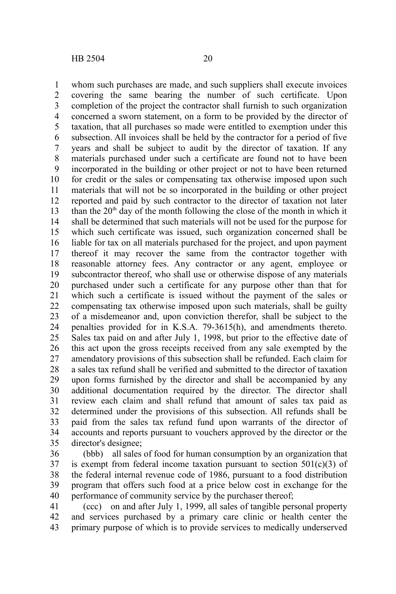whom such purchases are made, and such suppliers shall execute invoices covering the same bearing the number of such certificate. Upon completion of the project the contractor shall furnish to such organization concerned a sworn statement, on a form to be provided by the director of taxation, that all purchases so made were entitled to exemption under this subsection. All invoices shall be held by the contractor for a period of five years and shall be subject to audit by the director of taxation. If any materials purchased under such a certificate are found not to have been incorporated in the building or other project or not to have been returned for credit or the sales or compensating tax otherwise imposed upon such materials that will not be so incorporated in the building or other project reported and paid by such contractor to the director of taxation not later than the  $20<sup>th</sup>$  day of the month following the close of the month in which it shall be determined that such materials will not be used for the purpose for which such certificate was issued, such organization concerned shall be liable for tax on all materials purchased for the project, and upon payment thereof it may recover the same from the contractor together with reasonable attorney fees. Any contractor or any agent, employee or subcontractor thereof, who shall use or otherwise dispose of any materials purchased under such a certificate for any purpose other than that for which such a certificate is issued without the payment of the sales or compensating tax otherwise imposed upon such materials, shall be guilty of a misdemeanor and, upon conviction therefor, shall be subject to the penalties provided for in K.S.A. 79-3615(h), and amendments thereto. Sales tax paid on and after July 1, 1998, but prior to the effective date of this act upon the gross receipts received from any sale exempted by the amendatory provisions of this subsection shall be refunded. Each claim for a sales tax refund shall be verified and submitted to the director of taxation upon forms furnished by the director and shall be accompanied by any additional documentation required by the director. The director shall review each claim and shall refund that amount of sales tax paid as determined under the provisions of this subsection. All refunds shall be paid from the sales tax refund fund upon warrants of the director of accounts and reports pursuant to vouchers approved by the director or the director's designee; 1 2 3 4 5 6 7 8 9 10 11 12 13 14 15 16 17 18 19 20 21 22 23 24 25 26 27 28 29 30 31 32 33 34 35

(bbb) all sales of food for human consumption by an organization that is exempt from federal income taxation pursuant to section  $501(c)(3)$  of the federal internal revenue code of 1986, pursuant to a food distribution program that offers such food at a price below cost in exchange for the performance of community service by the purchaser thereof; 36 37 38 39 40

(ccc) on and after July 1, 1999, all sales of tangible personal property and services purchased by a primary care clinic or health center the primary purpose of which is to provide services to medically underserved 41 42 43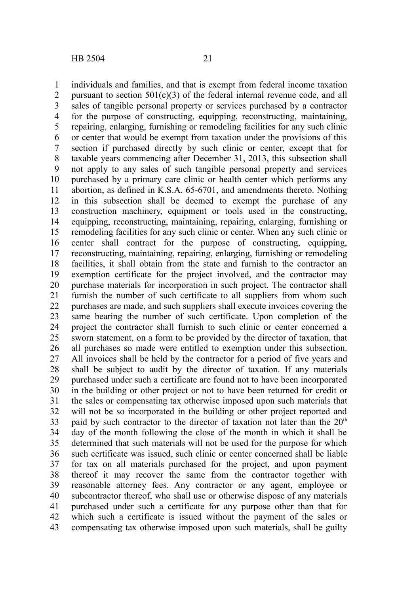individuals and families, and that is exempt from federal income taxation pursuant to section  $501(c)(3)$  of the federal internal revenue code, and all sales of tangible personal property or services purchased by a contractor for the purpose of constructing, equipping, reconstructing, maintaining, repairing, enlarging, furnishing or remodeling facilities for any such clinic or center that would be exempt from taxation under the provisions of this section if purchased directly by such clinic or center, except that for taxable years commencing after December 31, 2013, this subsection shall not apply to any sales of such tangible personal property and services purchased by a primary care clinic or health center which performs any abortion, as defined in K.S.A. 65-6701, and amendments thereto. Nothing in this subsection shall be deemed to exempt the purchase of any construction machinery, equipment or tools used in the constructing, equipping, reconstructing, maintaining, repairing, enlarging, furnishing or remodeling facilities for any such clinic or center. When any such clinic or center shall contract for the purpose of constructing, equipping, reconstructing, maintaining, repairing, enlarging, furnishing or remodeling facilities, it shall obtain from the state and furnish to the contractor an exemption certificate for the project involved, and the contractor may purchase materials for incorporation in such project. The contractor shall furnish the number of such certificate to all suppliers from whom such purchases are made, and such suppliers shall execute invoices covering the same bearing the number of such certificate. Upon completion of the project the contractor shall furnish to such clinic or center concerned a sworn statement, on a form to be provided by the director of taxation, that all purchases so made were entitled to exemption under this subsection. All invoices shall be held by the contractor for a period of five years and shall be subject to audit by the director of taxation. If any materials purchased under such a certificate are found not to have been incorporated in the building or other project or not to have been returned for credit or the sales or compensating tax otherwise imposed upon such materials that will not be so incorporated in the building or other project reported and paid by such contractor to the director of taxation not later than the  $20<sup>th</sup>$ day of the month following the close of the month in which it shall be determined that such materials will not be used for the purpose for which such certificate was issued, such clinic or center concerned shall be liable for tax on all materials purchased for the project, and upon payment thereof it may recover the same from the contractor together with reasonable attorney fees. Any contractor or any agent, employee or subcontractor thereof, who shall use or otherwise dispose of any materials purchased under such a certificate for any purpose other than that for which such a certificate is issued without the payment of the sales or compensating tax otherwise imposed upon such materials, shall be guilty 1 2 3 4 5 6 7 8 9 10 11 12 13 14 15 16 17 18 19 20 21 22 23 24 25 26 27 28 29 30 31 32 33 34 35 36 37 38 39 40 41 42 43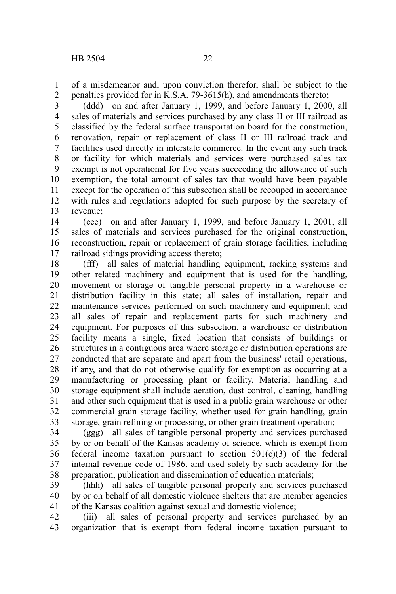of a misdemeanor and, upon conviction therefor, shall be subject to the penalties provided for in K.S.A. 79-3615(h), and amendments thereto; 1 2

(ddd) on and after January 1, 1999, and before January 1, 2000, all sales of materials and services purchased by any class II or III railroad as classified by the federal surface transportation board for the construction, renovation, repair or replacement of class II or III railroad track and facilities used directly in interstate commerce. In the event any such track or facility for which materials and services were purchased sales tax exempt is not operational for five years succeeding the allowance of such exemption, the total amount of sales tax that would have been payable except for the operation of this subsection shall be recouped in accordance with rules and regulations adopted for such purpose by the secretary of revenue; 3 4 5 6 7 8 9 10 11 12 13

(eee) on and after January 1, 1999, and before January 1, 2001, all sales of materials and services purchased for the original construction, reconstruction, repair or replacement of grain storage facilities, including railroad sidings providing access thereto; 14 15 16 17

(fff) all sales of material handling equipment, racking systems and other related machinery and equipment that is used for the handling, movement or storage of tangible personal property in a warehouse or distribution facility in this state; all sales of installation, repair and maintenance services performed on such machinery and equipment; and all sales of repair and replacement parts for such machinery and equipment. For purposes of this subsection, a warehouse or distribution facility means a single, fixed location that consists of buildings or structures in a contiguous area where storage or distribution operations are conducted that are separate and apart from the business' retail operations, if any, and that do not otherwise qualify for exemption as occurring at a manufacturing or processing plant or facility. Material handling and storage equipment shall include aeration, dust control, cleaning, handling and other such equipment that is used in a public grain warehouse or other commercial grain storage facility, whether used for grain handling, grain storage, grain refining or processing, or other grain treatment operation; 18 19 20 21 22 23 24 25 26 27 28 29 30 31 32 33

(ggg) all sales of tangible personal property and services purchased by or on behalf of the Kansas academy of science, which is exempt from federal income taxation pursuant to section  $501(c)(3)$  of the federal internal revenue code of 1986, and used solely by such academy for the preparation, publication and dissemination of education materials; 34 35 36 37 38

(hhh) all sales of tangible personal property and services purchased by or on behalf of all domestic violence shelters that are member agencies of the Kansas coalition against sexual and domestic violence; 39 40 41

(iii) all sales of personal property and services purchased by an organization that is exempt from federal income taxation pursuant to 42 43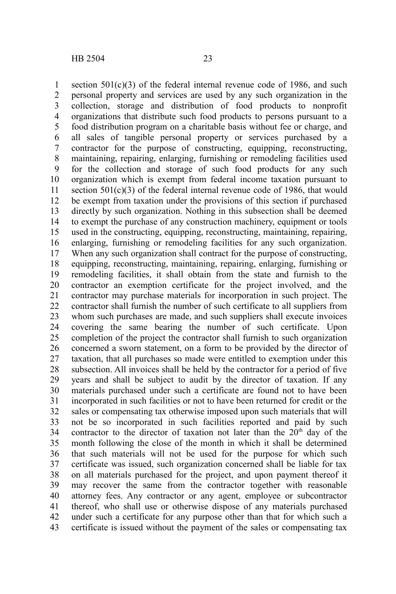section  $501(c)(3)$  of the federal internal revenue code of 1986, and such personal property and services are used by any such organization in the collection, storage and distribution of food products to nonprofit organizations that distribute such food products to persons pursuant to a food distribution program on a charitable basis without fee or charge, and all sales of tangible personal property or services purchased by a contractor for the purpose of constructing, equipping, reconstructing, maintaining, repairing, enlarging, furnishing or remodeling facilities used for the collection and storage of such food products for any such organization which is exempt from federal income taxation pursuant to section  $501(c)(3)$  of the federal internal revenue code of 1986, that would be exempt from taxation under the provisions of this section if purchased directly by such organization. Nothing in this subsection shall be deemed to exempt the purchase of any construction machinery, equipment or tools used in the constructing, equipping, reconstructing, maintaining, repairing, enlarging, furnishing or remodeling facilities for any such organization. When any such organization shall contract for the purpose of constructing, equipping, reconstructing, maintaining, repairing, enlarging, furnishing or remodeling facilities, it shall obtain from the state and furnish to the contractor an exemption certificate for the project involved, and the contractor may purchase materials for incorporation in such project. The contractor shall furnish the number of such certificate to all suppliers from whom such purchases are made, and such suppliers shall execute invoices covering the same bearing the number of such certificate. Upon completion of the project the contractor shall furnish to such organization concerned a sworn statement, on a form to be provided by the director of taxation, that all purchases so made were entitled to exemption under this subsection. All invoices shall be held by the contractor for a period of five years and shall be subject to audit by the director of taxation. If any materials purchased under such a certificate are found not to have been incorporated in such facilities or not to have been returned for credit or the sales or compensating tax otherwise imposed upon such materials that will not be so incorporated in such facilities reported and paid by such contractor to the director of taxation not later than the  $20<sup>th</sup>$  day of the month following the close of the month in which it shall be determined that such materials will not be used for the purpose for which such certificate was issued, such organization concerned shall be liable for tax on all materials purchased for the project, and upon payment thereof it may recover the same from the contractor together with reasonable attorney fees. Any contractor or any agent, employee or subcontractor thereof, who shall use or otherwise dispose of any materials purchased under such a certificate for any purpose other than that for which such a certificate is issued without the payment of the sales or compensating tax 1 2 3 4 5 6 7 8 9 10 11 12 13 14 15 16 17 18 19 20 21 22 23 24 25 26 27 28 29 30 31 32 33 34 35 36 37 38 39 40 41 42 43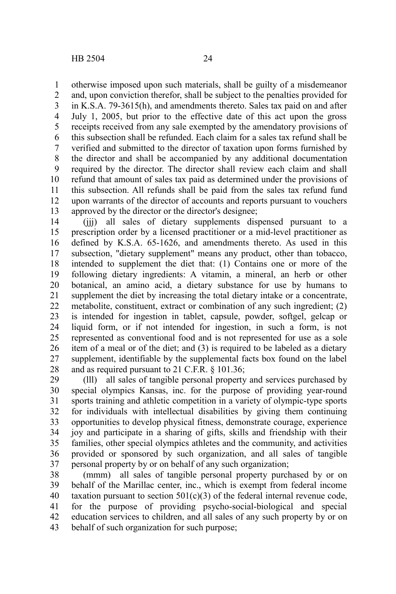otherwise imposed upon such materials, shall be guilty of a misdemeanor and, upon conviction therefor, shall be subject to the penalties provided for in K.S.A. 79-3615(h), and amendments thereto. Sales tax paid on and after July 1, 2005, but prior to the effective date of this act upon the gross receipts received from any sale exempted by the amendatory provisions of this subsection shall be refunded. Each claim for a sales tax refund shall be verified and submitted to the director of taxation upon forms furnished by the director and shall be accompanied by any additional documentation required by the director. The director shall review each claim and shall refund that amount of sales tax paid as determined under the provisions of this subsection. All refunds shall be paid from the sales tax refund fund upon warrants of the director of accounts and reports pursuant to vouchers approved by the director or the director's designee; 1 2 3 4 5 6 7 8 9 10 11 12 13

(jjj) all sales of dietary supplements dispensed pursuant to a prescription order by a licensed practitioner or a mid-level practitioner as defined by K.S.A. 65-1626, and amendments thereto. As used in this subsection, "dietary supplement" means any product, other than tobacco, intended to supplement the diet that: (1) Contains one or more of the following dietary ingredients: A vitamin, a mineral, an herb or other botanical, an amino acid, a dietary substance for use by humans to supplement the diet by increasing the total dietary intake or a concentrate, metabolite, constituent, extract or combination of any such ingredient; (2) is intended for ingestion in tablet, capsule, powder, softgel, gelcap or liquid form, or if not intended for ingestion, in such a form, is not represented as conventional food and is not represented for use as a sole item of a meal or of the diet; and (3) is required to be labeled as a dietary supplement, identifiable by the supplemental facts box found on the label and as required pursuant to 21 C.F.R. § 101.36; 14 15 16 17 18 19 20 21 22 23 24 25 26 27 28

(lll) all sales of tangible personal property and services purchased by special olympics Kansas, inc. for the purpose of providing year-round sports training and athletic competition in a variety of olympic-type sports for individuals with intellectual disabilities by giving them continuing opportunities to develop physical fitness, demonstrate courage, experience joy and participate in a sharing of gifts, skills and friendship with their families, other special olympics athletes and the community, and activities provided or sponsored by such organization, and all sales of tangible personal property by or on behalf of any such organization; 29 30 31 32 33 34 35 36 37

(mmm) all sales of tangible personal property purchased by or on behalf of the Marillac center, inc., which is exempt from federal income taxation pursuant to section  $501(c)(3)$  of the federal internal revenue code, for the purpose of providing psycho-social-biological and special education services to children, and all sales of any such property by or on behalf of such organization for such purpose; 38 39 40 41 42 43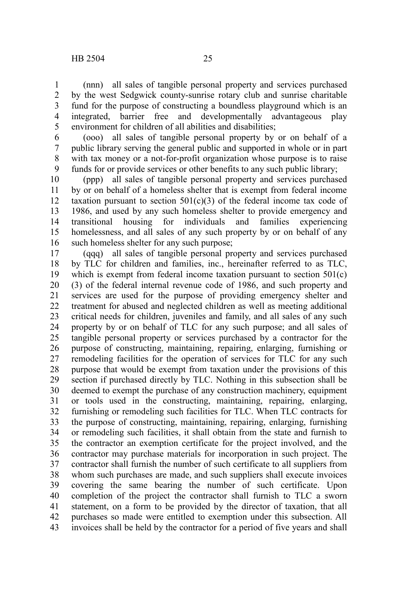(nnn) all sales of tangible personal property and services purchased by the west Sedgwick county-sunrise rotary club and sunrise charitable fund for the purpose of constructing a boundless playground which is an integrated, barrier free and developmentally advantageous play environment for children of all abilities and disabilities; 1 2 3 4 5

(ooo) all sales of tangible personal property by or on behalf of a public library serving the general public and supported in whole or in part with tax money or a not-for-profit organization whose purpose is to raise funds for or provide services or other benefits to any such public library; 6 7 8 9

(ppp) all sales of tangible personal property and services purchased by or on behalf of a homeless shelter that is exempt from federal income taxation pursuant to section  $501(c)(3)$  of the federal income tax code of 1986, and used by any such homeless shelter to provide emergency and transitional housing for individuals and families experiencing homelessness, and all sales of any such property by or on behalf of any such homeless shelter for any such purpose; 10 11 12 13 14 15 16

(qqq) all sales of tangible personal property and services purchased by TLC for children and families, inc., hereinafter referred to as TLC, which is exempt from federal income taxation pursuant to section  $501(c)$ (3) of the federal internal revenue code of 1986, and such property and services are used for the purpose of providing emergency shelter and treatment for abused and neglected children as well as meeting additional critical needs for children, juveniles and family, and all sales of any such property by or on behalf of TLC for any such purpose; and all sales of tangible personal property or services purchased by a contractor for the purpose of constructing, maintaining, repairing, enlarging, furnishing or remodeling facilities for the operation of services for TLC for any such purpose that would be exempt from taxation under the provisions of this section if purchased directly by TLC. Nothing in this subsection shall be deemed to exempt the purchase of any construction machinery, equipment or tools used in the constructing, maintaining, repairing, enlarging, furnishing or remodeling such facilities for TLC. When TLC contracts for the purpose of constructing, maintaining, repairing, enlarging, furnishing or remodeling such facilities, it shall obtain from the state and furnish to the contractor an exemption certificate for the project involved, and the contractor may purchase materials for incorporation in such project. The contractor shall furnish the number of such certificate to all suppliers from whom such purchases are made, and such suppliers shall execute invoices covering the same bearing the number of such certificate. Upon completion of the project the contractor shall furnish to TLC a sworn statement, on a form to be provided by the director of taxation, that all purchases so made were entitled to exemption under this subsection. All invoices shall be held by the contractor for a period of five years and shall 17 18 19 20 21 22 23 24 25 26 27 28 29 30 31 32 33 34 35 36 37 38 39 40 41 42 43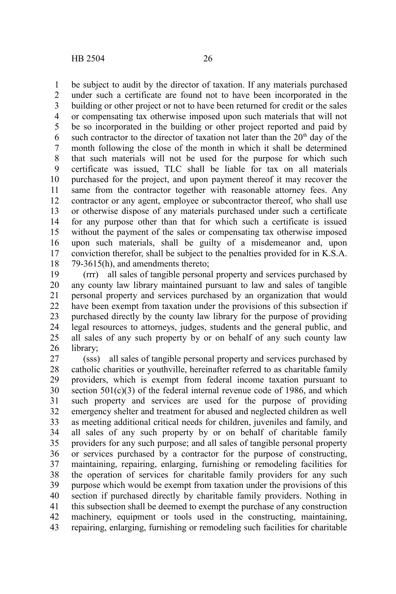be subject to audit by the director of taxation. If any materials purchased under such a certificate are found not to have been incorporated in the building or other project or not to have been returned for credit or the sales or compensating tax otherwise imposed upon such materials that will not be so incorporated in the building or other project reported and paid by such contractor to the director of taxation not later than the  $20<sup>th</sup>$  day of the month following the close of the month in which it shall be determined that such materials will not be used for the purpose for which such certificate was issued, TLC shall be liable for tax on all materials purchased for the project, and upon payment thereof it may recover the same from the contractor together with reasonable attorney fees. Any contractor or any agent, employee or subcontractor thereof, who shall use or otherwise dispose of any materials purchased under such a certificate for any purpose other than that for which such a certificate is issued without the payment of the sales or compensating tax otherwise imposed upon such materials, shall be guilty of a misdemeanor and, upon conviction therefor, shall be subject to the penalties provided for in K.S.A. 79-3615(h), and amendments thereto; 1 2 3 4 5 6 7 8 9 10 11 12 13 14 15 16 17 18

(rrr) all sales of tangible personal property and services purchased by any county law library maintained pursuant to law and sales of tangible personal property and services purchased by an organization that would have been exempt from taxation under the provisions of this subsection if purchased directly by the county law library for the purpose of providing legal resources to attorneys, judges, students and the general public, and all sales of any such property by or on behalf of any such county law library; 19 20 21 22 23 24 25 26

(sss) all sales of tangible personal property and services purchased by catholic charities or youthville, hereinafter referred to as charitable family providers, which is exempt from federal income taxation pursuant to section  $501(c)(3)$  of the federal internal revenue code of 1986, and which such property and services are used for the purpose of providing emergency shelter and treatment for abused and neglected children as well as meeting additional critical needs for children, juveniles and family, and all sales of any such property by or on behalf of charitable family providers for any such purpose; and all sales of tangible personal property or services purchased by a contractor for the purpose of constructing, maintaining, repairing, enlarging, furnishing or remodeling facilities for the operation of services for charitable family providers for any such purpose which would be exempt from taxation under the provisions of this section if purchased directly by charitable family providers. Nothing in this subsection shall be deemed to exempt the purchase of any construction machinery, equipment or tools used in the constructing, maintaining, repairing, enlarging, furnishing or remodeling such facilities for charitable 27 28 29 30 31 32 33 34 35 36 37 38 39 40 41 42 43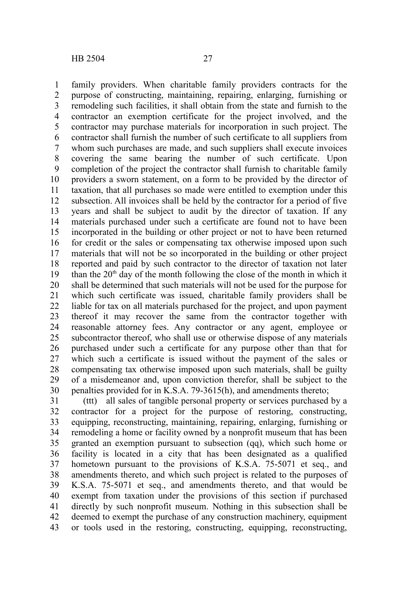family providers. When charitable family providers contracts for the purpose of constructing, maintaining, repairing, enlarging, furnishing or remodeling such facilities, it shall obtain from the state and furnish to the contractor an exemption certificate for the project involved, and the contractor may purchase materials for incorporation in such project. The contractor shall furnish the number of such certificate to all suppliers from whom such purchases are made, and such suppliers shall execute invoices covering the same bearing the number of such certificate. Upon completion of the project the contractor shall furnish to charitable family providers a sworn statement, on a form to be provided by the director of taxation, that all purchases so made were entitled to exemption under this subsection. All invoices shall be held by the contractor for a period of five years and shall be subject to audit by the director of taxation. If any materials purchased under such a certificate are found not to have been incorporated in the building or other project or not to have been returned for credit or the sales or compensating tax otherwise imposed upon such materials that will not be so incorporated in the building or other project reported and paid by such contractor to the director of taxation not later than the  $20<sup>th</sup>$  day of the month following the close of the month in which it shall be determined that such materials will not be used for the purpose for which such certificate was issued, charitable family providers shall be liable for tax on all materials purchased for the project, and upon payment thereof it may recover the same from the contractor together with reasonable attorney fees. Any contractor or any agent, employee or subcontractor thereof, who shall use or otherwise dispose of any materials purchased under such a certificate for any purpose other than that for which such a certificate is issued without the payment of the sales or compensating tax otherwise imposed upon such materials, shall be guilty of a misdemeanor and, upon conviction therefor, shall be subject to the penalties provided for in K.S.A. 79-3615(h), and amendments thereto; 1 2 3 4 5 6 7 8 9 10 11 12 13 14 15 16 17 18 19 20 21 22 23 24 25 26 27 28 29 30

(ttt) all sales of tangible personal property or services purchased by a contractor for a project for the purpose of restoring, constructing, equipping, reconstructing, maintaining, repairing, enlarging, furnishing or remodeling a home or facility owned by a nonprofit museum that has been granted an exemption pursuant to subsection (qq), which such home or facility is located in a city that has been designated as a qualified hometown pursuant to the provisions of K.S.A. 75-5071 et seq., and amendments thereto, and which such project is related to the purposes of K.S.A. 75-5071 et seq., and amendments thereto, and that would be exempt from taxation under the provisions of this section if purchased directly by such nonprofit museum. Nothing in this subsection shall be deemed to exempt the purchase of any construction machinery, equipment or tools used in the restoring, constructing, equipping, reconstructing, 31 32 33 34 35 36 37 38 39 40 41 42 43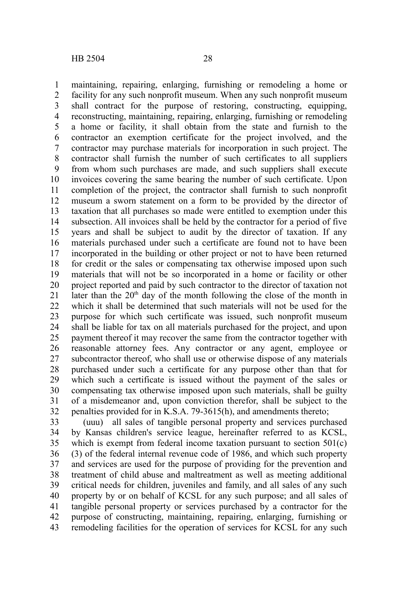maintaining, repairing, enlarging, furnishing or remodeling a home or facility for any such nonprofit museum. When any such nonprofit museum shall contract for the purpose of restoring, constructing, equipping, reconstructing, maintaining, repairing, enlarging, furnishing or remodeling a home or facility, it shall obtain from the state and furnish to the contractor an exemption certificate for the project involved, and the contractor may purchase materials for incorporation in such project. The contractor shall furnish the number of such certificates to all suppliers from whom such purchases are made, and such suppliers shall execute invoices covering the same bearing the number of such certificate. Upon completion of the project, the contractor shall furnish to such nonprofit museum a sworn statement on a form to be provided by the director of taxation that all purchases so made were entitled to exemption under this subsection. All invoices shall be held by the contractor for a period of five years and shall be subject to audit by the director of taxation. If any materials purchased under such a certificate are found not to have been incorporated in the building or other project or not to have been returned for credit or the sales or compensating tax otherwise imposed upon such materials that will not be so incorporated in a home or facility or other project reported and paid by such contractor to the director of taxation not later than the 20<sup>th</sup> day of the month following the close of the month in which it shall be determined that such materials will not be used for the purpose for which such certificate was issued, such nonprofit museum shall be liable for tax on all materials purchased for the project, and upon payment thereof it may recover the same from the contractor together with reasonable attorney fees. Any contractor or any agent, employee or subcontractor thereof, who shall use or otherwise dispose of any materials purchased under such a certificate for any purpose other than that for which such a certificate is issued without the payment of the sales or compensating tax otherwise imposed upon such materials, shall be guilty of a misdemeanor and, upon conviction therefor, shall be subject to the penalties provided for in K.S.A. 79-3615(h), and amendments thereto; 1 2 3 4 5 6 7 8 9 10 11 12 13 14 15 16 17 18 19 20 21 22 23 24 25 26 27 28 29 30 31 32

(uuu) all sales of tangible personal property and services purchased by Kansas children's service league, hereinafter referred to as KCSL, which is exempt from federal income taxation pursuant to section  $501(c)$ (3) of the federal internal revenue code of 1986, and which such property and services are used for the purpose of providing for the prevention and treatment of child abuse and maltreatment as well as meeting additional critical needs for children, juveniles and family, and all sales of any such property by or on behalf of KCSL for any such purpose; and all sales of tangible personal property or services purchased by a contractor for the purpose of constructing, maintaining, repairing, enlarging, furnishing or remodeling facilities for the operation of services for KCSL for any such 33 34 35 36 37 38 39 40 41 42 43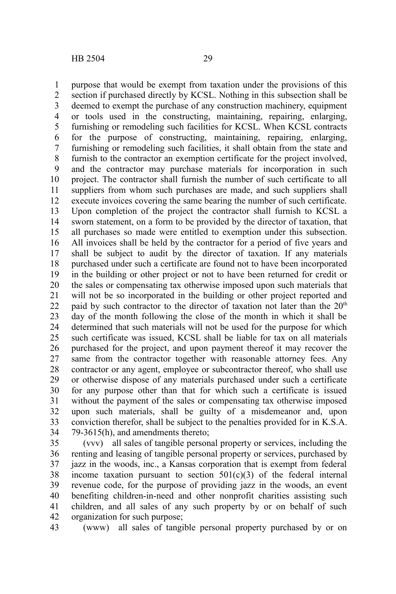purpose that would be exempt from taxation under the provisions of this section if purchased directly by KCSL. Nothing in this subsection shall be deemed to exempt the purchase of any construction machinery, equipment or tools used in the constructing, maintaining, repairing, enlarging, furnishing or remodeling such facilities for KCSL. When KCSL contracts for the purpose of constructing, maintaining, repairing, enlarging, furnishing or remodeling such facilities, it shall obtain from the state and furnish to the contractor an exemption certificate for the project involved, and the contractor may purchase materials for incorporation in such project. The contractor shall furnish the number of such certificate to all suppliers from whom such purchases are made, and such suppliers shall execute invoices covering the same bearing the number of such certificate. Upon completion of the project the contractor shall furnish to KCSL a sworn statement, on a form to be provided by the director of taxation, that all purchases so made were entitled to exemption under this subsection. All invoices shall be held by the contractor for a period of five years and shall be subject to audit by the director of taxation. If any materials purchased under such a certificate are found not to have been incorporated in the building or other project or not to have been returned for credit or the sales or compensating tax otherwise imposed upon such materials that will not be so incorporated in the building or other project reported and paid by such contractor to the director of taxation not later than the  $20<sup>th</sup>$ day of the month following the close of the month in which it shall be determined that such materials will not be used for the purpose for which such certificate was issued, KCSL shall be liable for tax on all materials purchased for the project, and upon payment thereof it may recover the same from the contractor together with reasonable attorney fees. Any contractor or any agent, employee or subcontractor thereof, who shall use or otherwise dispose of any materials purchased under such a certificate for any purpose other than that for which such a certificate is issued without the payment of the sales or compensating tax otherwise imposed upon such materials, shall be guilty of a misdemeanor and, upon conviction therefor, shall be subject to the penalties provided for in K.S.A. 79-3615(h), and amendments thereto; 1 2 3 4 5 6 7 8 9 10 11 12 13 14 15 16 17 18 19 20 21 22 23 24 25 26 27 28 29 30 31 32 33 34

(vvv) all sales of tangible personal property or services, including the renting and leasing of tangible personal property or services, purchased by jazz in the woods, inc., a Kansas corporation that is exempt from federal income taxation pursuant to section  $501(c)(3)$  of the federal internal revenue code, for the purpose of providing jazz in the woods, an event benefiting children-in-need and other nonprofit charities assisting such children, and all sales of any such property by or on behalf of such organization for such purpose; 35 36 37 38 39 40 41 42

(www) all sales of tangible personal property purchased by or on 43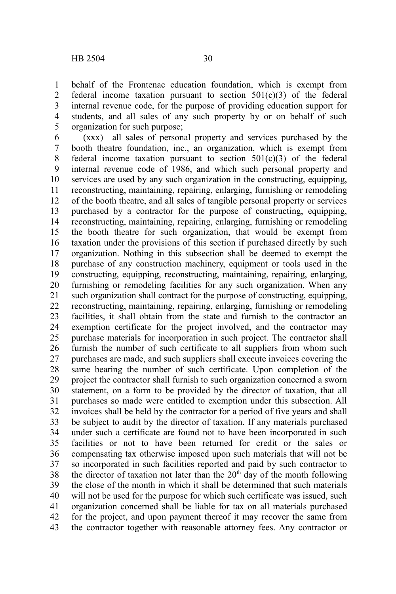behalf of the Frontenac education foundation, which is exempt from federal income taxation pursuant to section  $501(c)(3)$  of the federal internal revenue code, for the purpose of providing education support for students, and all sales of any such property by or on behalf of such organization for such purpose; 1 2 3 4 5

(xxx) all sales of personal property and services purchased by the booth theatre foundation, inc., an organization, which is exempt from federal income taxation pursuant to section  $501(c)(3)$  of the federal internal revenue code of 1986, and which such personal property and services are used by any such organization in the constructing, equipping, reconstructing, maintaining, repairing, enlarging, furnishing or remodeling of the booth theatre, and all sales of tangible personal property or services purchased by a contractor for the purpose of constructing, equipping, reconstructing, maintaining, repairing, enlarging, furnishing or remodeling the booth theatre for such organization, that would be exempt from taxation under the provisions of this section if purchased directly by such organization. Nothing in this subsection shall be deemed to exempt the purchase of any construction machinery, equipment or tools used in the constructing, equipping, reconstructing, maintaining, repairing, enlarging, furnishing or remodeling facilities for any such organization. When any such organization shall contract for the purpose of constructing, equipping, reconstructing, maintaining, repairing, enlarging, furnishing or remodeling facilities, it shall obtain from the state and furnish to the contractor an exemption certificate for the project involved, and the contractor may purchase materials for incorporation in such project. The contractor shall furnish the number of such certificate to all suppliers from whom such purchases are made, and such suppliers shall execute invoices covering the same bearing the number of such certificate. Upon completion of the project the contractor shall furnish to such organization concerned a sworn statement, on a form to be provided by the director of taxation, that all purchases so made were entitled to exemption under this subsection. All invoices shall be held by the contractor for a period of five years and shall be subject to audit by the director of taxation. If any materials purchased under such a certificate are found not to have been incorporated in such facilities or not to have been returned for credit or the sales or compensating tax otherwise imposed upon such materials that will not be so incorporated in such facilities reported and paid by such contractor to the director of taxation not later than the  $20<sup>th</sup>$  day of the month following the close of the month in which it shall be determined that such materials will not be used for the purpose for which such certificate was issued, such organization concerned shall be liable for tax on all materials purchased for the project, and upon payment thereof it may recover the same from the contractor together with reasonable attorney fees. Any contractor or 6 7 8 9 10 11 12 13 14 15 16 17 18 19 20 21 22 23 24 25 26 27 28 29 30 31 32 33 34 35 36 37 38 39 40 41 42 43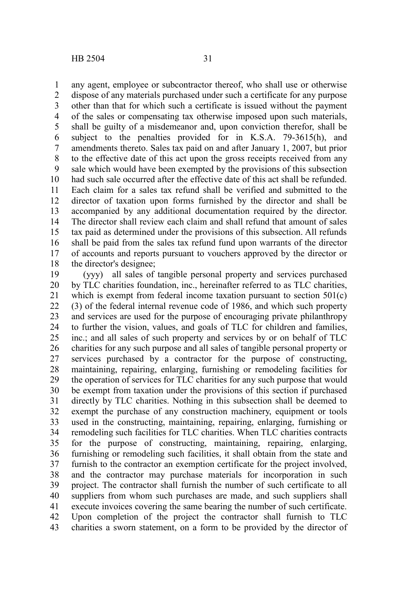any agent, employee or subcontractor thereof, who shall use or otherwise dispose of any materials purchased under such a certificate for any purpose other than that for which such a certificate is issued without the payment of the sales or compensating tax otherwise imposed upon such materials, shall be guilty of a misdemeanor and, upon conviction therefor, shall be subject to the penalties provided for in K.S.A. 79-3615(h), and amendments thereto. Sales tax paid on and after January 1, 2007, but prior to the effective date of this act upon the gross receipts received from any sale which would have been exempted by the provisions of this subsection had such sale occurred after the effective date of this act shall be refunded. Each claim for a sales tax refund shall be verified and submitted to the director of taxation upon forms furnished by the director and shall be accompanied by any additional documentation required by the director. The director shall review each claim and shall refund that amount of sales tax paid as determined under the provisions of this subsection. All refunds shall be paid from the sales tax refund fund upon warrants of the director of accounts and reports pursuant to vouchers approved by the director or the director's designee; 1 2 3 4 5 6 7 8 9 10 11 12 13 14 15 16 17 18

(yyy) all sales of tangible personal property and services purchased by TLC charities foundation, inc., hereinafter referred to as TLC charities, which is exempt from federal income taxation pursuant to section 501(c) (3) of the federal internal revenue code of 1986, and which such property and services are used for the purpose of encouraging private philanthropy to further the vision, values, and goals of TLC for children and families, inc.; and all sales of such property and services by or on behalf of TLC charities for any such purpose and all sales of tangible personal property or services purchased by a contractor for the purpose of constructing, maintaining, repairing, enlarging, furnishing or remodeling facilities for the operation of services for TLC charities for any such purpose that would be exempt from taxation under the provisions of this section if purchased directly by TLC charities. Nothing in this subsection shall be deemed to exempt the purchase of any construction machinery, equipment or tools used in the constructing, maintaining, repairing, enlarging, furnishing or remodeling such facilities for TLC charities. When TLC charities contracts for the purpose of constructing, maintaining, repairing, enlarging, furnishing or remodeling such facilities, it shall obtain from the state and furnish to the contractor an exemption certificate for the project involved, and the contractor may purchase materials for incorporation in such project. The contractor shall furnish the number of such certificate to all suppliers from whom such purchases are made, and such suppliers shall execute invoices covering the same bearing the number of such certificate. Upon completion of the project the contractor shall furnish to TLC charities a sworn statement, on a form to be provided by the director of 19 20 21 22 23 24 25 26 27 28 29 30 31 32 33 34 35 36 37 38 39 40 41 42 43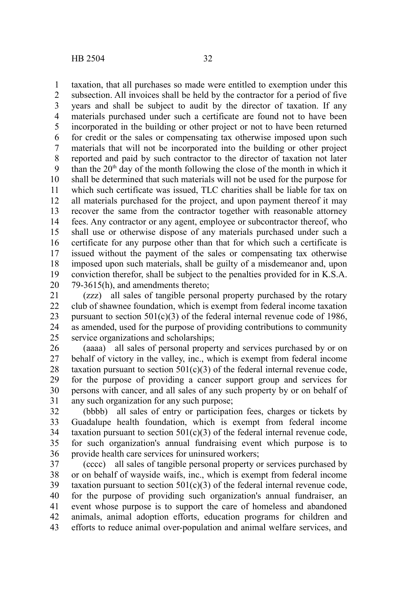taxation, that all purchases so made were entitled to exemption under this subsection. All invoices shall be held by the contractor for a period of five years and shall be subject to audit by the director of taxation. If any materials purchased under such a certificate are found not to have been incorporated in the building or other project or not to have been returned for credit or the sales or compensating tax otherwise imposed upon such materials that will not be incorporated into the building or other project reported and paid by such contractor to the director of taxation not later than the  $20<sup>th</sup>$  day of the month following the close of the month in which it shall be determined that such materials will not be used for the purpose for which such certificate was issued. TLC charities shall be liable for tax on all materials purchased for the project, and upon payment thereof it may recover the same from the contractor together with reasonable attorney fees. Any contractor or any agent, employee or subcontractor thereof, who shall use or otherwise dispose of any materials purchased under such a certificate for any purpose other than that for which such a certificate is issued without the payment of the sales or compensating tax otherwise imposed upon such materials, shall be guilty of a misdemeanor and, upon conviction therefor, shall be subject to the penalties provided for in K.S.A. 79-3615(h), and amendments thereto; 1 2 3 4 5 6 7 8 9 10 11 12 13 14 15 16 17 18 19 20

(zzz) all sales of tangible personal property purchased by the rotary club of shawnee foundation, which is exempt from federal income taxation pursuant to section  $501(c)(3)$  of the federal internal revenue code of 1986. as amended, used for the purpose of providing contributions to community service organizations and scholarships; 21 22 23 24 25

(aaaa) all sales of personal property and services purchased by or on behalf of victory in the valley, inc., which is exempt from federal income taxation pursuant to section  $501(c)(3)$  of the federal internal revenue code, for the purpose of providing a cancer support group and services for persons with cancer, and all sales of any such property by or on behalf of any such organization for any such purpose; 26 27 28 29 30 31

(bbbb) all sales of entry or participation fees, charges or tickets by Guadalupe health foundation, which is exempt from federal income taxation pursuant to section  $501(c)(3)$  of the federal internal revenue code, for such organization's annual fundraising event which purpose is to provide health care services for uninsured workers; 32 33 34 35 36

(cccc) all sales of tangible personal property or services purchased by or on behalf of wayside waifs, inc., which is exempt from federal income taxation pursuant to section  $501(c)(3)$  of the federal internal revenue code, for the purpose of providing such organization's annual fundraiser, an event whose purpose is to support the care of homeless and abandoned animals, animal adoption efforts, education programs for children and efforts to reduce animal over-population and animal welfare services, and 37 38 39 40 41 42 43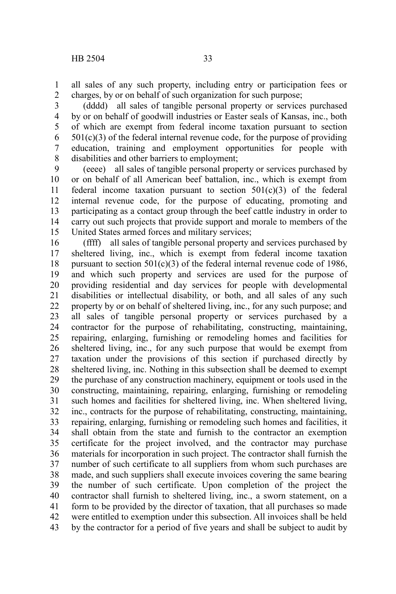all sales of any such property, including entry or participation fees or charges, by or on behalf of such organization for such purpose; 1 2

(dddd) all sales of tangible personal property or services purchased by or on behalf of goodwill industries or Easter seals of Kansas, inc., both of which are exempt from federal income taxation pursuant to section  $501(c)(3)$  of the federal internal revenue code, for the purpose of providing education, training and employment opportunities for people with disabilities and other barriers to employment; 3 4 5 6 7 8

(eeee) all sales of tangible personal property or services purchased by or on behalf of all American beef battalion, inc., which is exempt from federal income taxation pursuant to section  $501(c)(3)$  of the federal internal revenue code, for the purpose of educating, promoting and participating as a contact group through the beef cattle industry in order to carry out such projects that provide support and morale to members of the United States armed forces and military services; 9 10 11 12 13 14 15

(ffff) all sales of tangible personal property and services purchased by sheltered living, inc., which is exempt from federal income taxation pursuant to section  $501(c)(3)$  of the federal internal revenue code of 1986, and which such property and services are used for the purpose of providing residential and day services for people with developmental disabilities or intellectual disability, or both, and all sales of any such property by or on behalf of sheltered living, inc., for any such purpose; and all sales of tangible personal property or services purchased by a contractor for the purpose of rehabilitating, constructing, maintaining, repairing, enlarging, furnishing or remodeling homes and facilities for sheltered living, inc., for any such purpose that would be exempt from taxation under the provisions of this section if purchased directly by sheltered living, inc. Nothing in this subsection shall be deemed to exempt the purchase of any construction machinery, equipment or tools used in the constructing, maintaining, repairing, enlarging, furnishing or remodeling such homes and facilities for sheltered living, inc. When sheltered living, inc., contracts for the purpose of rehabilitating, constructing, maintaining, repairing, enlarging, furnishing or remodeling such homes and facilities, it shall obtain from the state and furnish to the contractor an exemption certificate for the project involved, and the contractor may purchase materials for incorporation in such project. The contractor shall furnish the number of such certificate to all suppliers from whom such purchases are made, and such suppliers shall execute invoices covering the same bearing the number of such certificate. Upon completion of the project the contractor shall furnish to sheltered living, inc., a sworn statement, on a form to be provided by the director of taxation, that all purchases so made were entitled to exemption under this subsection. All invoices shall be held by the contractor for a period of five years and shall be subject to audit by 16 17 18 19 20 21 22 23 24 25 26 27 28 29 30 31 32 33 34 35 36 37 38 39 40 41 42 43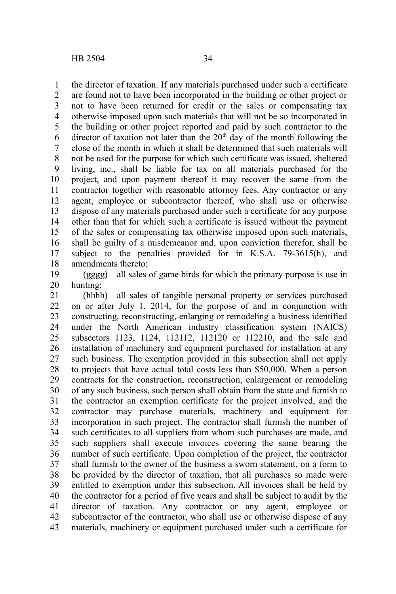the director of taxation. If any materials purchased under such a certificate are found not to have been incorporated in the building or other project or not to have been returned for credit or the sales or compensating tax otherwise imposed upon such materials that will not be so incorporated in the building or other project reported and paid by such contractor to the director of taxation not later than the  $20<sup>th</sup>$  day of the month following the close of the month in which it shall be determined that such materials will not be used for the purpose for which such certificate was issued, sheltered living, inc., shall be liable for tax on all materials purchased for the project, and upon payment thereof it may recover the same from the contractor together with reasonable attorney fees. Any contractor or any agent, employee or subcontractor thereof, who shall use or otherwise

dispose of any materials purchased under such a certificate for any purpose other than that for which such a certificate is issued without the payment of the sales or compensating tax otherwise imposed upon such materials, shall be guilty of a misdemeanor and, upon conviction therefor, shall be subject to the penalties provided for in K.S.A. 79-3615(h), and amendments thereto; 13 14 15 16 17 18

(gggg) all sales of game birds for which the primary purpose is use in hunting; 19 20

(hhhh) all sales of tangible personal property or services purchased on or after July 1, 2014, for the purpose of and in conjunction with constructing, reconstructing, enlarging or remodeling a business identified under the North American industry classification system (NAICS) subsectors 1123, 1124, 112112, 112120 or 112210, and the sale and installation of machinery and equipment purchased for installation at any such business. The exemption provided in this subsection shall not apply to projects that have actual total costs less than \$50,000. When a person contracts for the construction, reconstruction, enlargement or remodeling of any such business, such person shall obtain from the state and furnish to the contractor an exemption certificate for the project involved, and the contractor may purchase materials, machinery and equipment for incorporation in such project. The contractor shall furnish the number of such certificates to all suppliers from whom such purchases are made, and such suppliers shall execute invoices covering the same bearing the number of such certificate. Upon completion of the project, the contractor shall furnish to the owner of the business a sworn statement, on a form to be provided by the director of taxation, that all purchases so made were entitled to exemption under this subsection. All invoices shall be held by the contractor for a period of five years and shall be subject to audit by the director of taxation. Any contractor or any agent, employee or subcontractor of the contractor, who shall use or otherwise dispose of any materials, machinery or equipment purchased under such a certificate for 21 22 23 24 25 26 27 28 29 30 31 32 33 34 35 36 37 38 39 40 41 42 43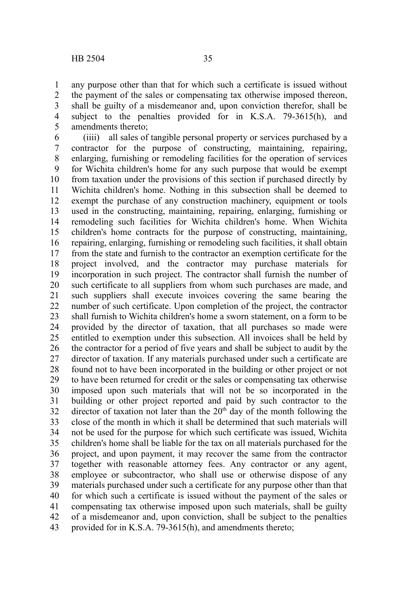any purpose other than that for which such a certificate is issued without the payment of the sales or compensating tax otherwise imposed thereon, shall be guilty of a misdemeanor and, upon conviction therefor, shall be subject to the penalties provided for in K.S.A. 79-3615(h), and amendments thereto; 1 2 3 4 5

(iiii) all sales of tangible personal property or services purchased by a contractor for the purpose of constructing, maintaining, repairing, enlarging, furnishing or remodeling facilities for the operation of services for Wichita children's home for any such purpose that would be exempt from taxation under the provisions of this section if purchased directly by Wichita children's home. Nothing in this subsection shall be deemed to exempt the purchase of any construction machinery, equipment or tools used in the constructing, maintaining, repairing, enlarging, furnishing or remodeling such facilities for Wichita children's home. When Wichita children's home contracts for the purpose of constructing, maintaining, repairing, enlarging, furnishing or remodeling such facilities, it shall obtain from the state and furnish to the contractor an exemption certificate for the project involved, and the contractor may purchase materials for incorporation in such project. The contractor shall furnish the number of such certificate to all suppliers from whom such purchases are made, and such suppliers shall execute invoices covering the same bearing the number of such certificate. Upon completion of the project, the contractor shall furnish to Wichita children's home a sworn statement, on a form to be provided by the director of taxation, that all purchases so made were entitled to exemption under this subsection. All invoices shall be held by the contractor for a period of five years and shall be subject to audit by the director of taxation. If any materials purchased under such a certificate are found not to have been incorporated in the building or other project or not to have been returned for credit or the sales or compensating tax otherwise imposed upon such materials that will not be so incorporated in the building or other project reported and paid by such contractor to the director of taxation not later than the  $20<sup>th</sup>$  day of the month following the close of the month in which it shall be determined that such materials will not be used for the purpose for which such certificate was issued, Wichita children's home shall be liable for the tax on all materials purchased for the project, and upon payment, it may recover the same from the contractor together with reasonable attorney fees. Any contractor or any agent, employee or subcontractor, who shall use or otherwise dispose of any materials purchased under such a certificate for any purpose other than that for which such a certificate is issued without the payment of the sales or compensating tax otherwise imposed upon such materials, shall be guilty of a misdemeanor and, upon conviction, shall be subject to the penalties provided for in K.S.A. 79-3615(h), and amendments thereto; 6 7 8 9 10 11 12 13 14 15 16 17 18 19 20 21 22 23 24 25 26 27 28 29 30 31 32 33 34 35 36 37 38 39 40 41 42 43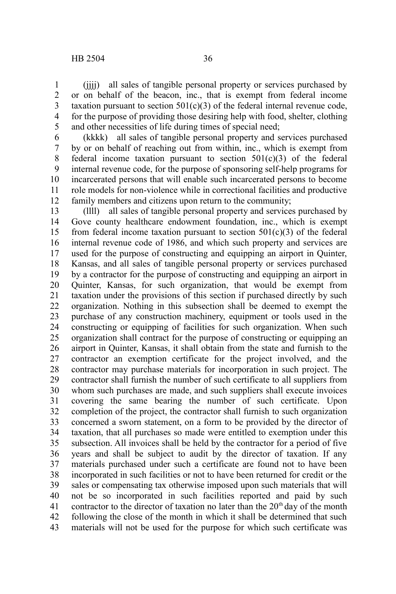(iiii) all sales of tangible personal property or services purchased by or on behalf of the beacon, inc., that is exempt from federal income taxation pursuant to section  $501(c)(3)$  of the federal internal revenue code, for the purpose of providing those desiring help with food, shelter, clothing and other necessities of life during times of special need; 1 2 3 4 5

(kkkk) all sales of tangible personal property and services purchased by or on behalf of reaching out from within, inc., which is exempt from federal income taxation pursuant to section  $501(c)(3)$  of the federal internal revenue code, for the purpose of sponsoring self-help programs for incarcerated persons that will enable such incarcerated persons to become role models for non-violence while in correctional facilities and productive family members and citizens upon return to the community; 6 7 8 9 10 11 12

(llll) all sales of tangible personal property and services purchased by Gove county healthcare endowment foundation, inc., which is exempt from federal income taxation pursuant to section  $501(c)(3)$  of the federal internal revenue code of 1986, and which such property and services are used for the purpose of constructing and equipping an airport in Quinter, Kansas, and all sales of tangible personal property or services purchased by a contractor for the purpose of constructing and equipping an airport in Quinter, Kansas, for such organization, that would be exempt from taxation under the provisions of this section if purchased directly by such organization. Nothing in this subsection shall be deemed to exempt the purchase of any construction machinery, equipment or tools used in the constructing or equipping of facilities for such organization. When such organization shall contract for the purpose of constructing or equipping an airport in Quinter, Kansas, it shall obtain from the state and furnish to the contractor an exemption certificate for the project involved, and the contractor may purchase materials for incorporation in such project. The contractor shall furnish the number of such certificate to all suppliers from whom such purchases are made, and such suppliers shall execute invoices covering the same bearing the number of such certificate. Upon completion of the project, the contractor shall furnish to such organization concerned a sworn statement, on a form to be provided by the director of taxation, that all purchases so made were entitled to exemption under this subsection. All invoices shall be held by the contractor for a period of five years and shall be subject to audit by the director of taxation. If any materials purchased under such a certificate are found not to have been incorporated in such facilities or not to have been returned for credit or the sales or compensating tax otherwise imposed upon such materials that will not be so incorporated in such facilities reported and paid by such contractor to the director of taxation no later than the  $20<sup>th</sup>$  day of the month following the close of the month in which it shall be determined that such materials will not be used for the purpose for which such certificate was 13 14 15 16 17 18 19 20 21 22 23 24 25 26 27 28 29 30 31 32 33 34 35 36 37 38 39 40 41 42 43